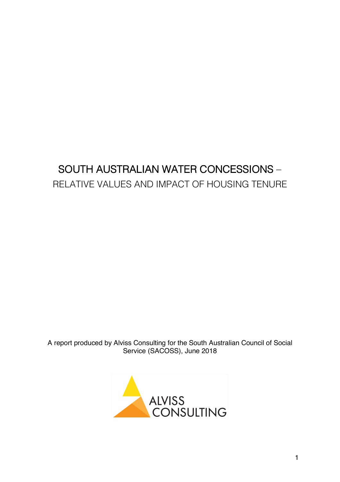# SOUTH AUSTRALIAN WATER CONCESSIONS – RELATIVE VALUES AND IMPACT OF HOUSING TENURE

A report produced by Alviss Consulting for the South Australian Council of Social Service (SACOSS), June 2018

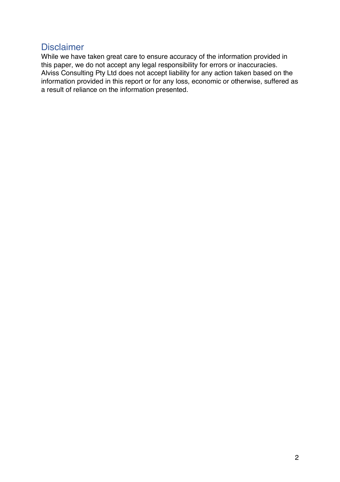### Disclaimer

While we have taken great care to ensure accuracy of the information provided in this paper, we do not accept any legal responsibility for errors or inaccuracies. Alviss Consulting Pty Ltd does not accept liability for any action taken based on the information provided in this report or for any loss, economic or otherwise, suffered as a result of reliance on the information presented.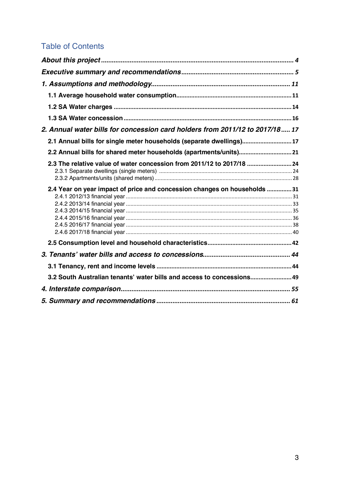# Table of Contents

| 2. Annual water bills for concession card holders from 2011/12 to 2017/18 17                                                                       |  |
|----------------------------------------------------------------------------------------------------------------------------------------------------|--|
| 2.1 Annual bills for single meter households (separate dwellings) 17                                                                               |  |
| 2.2 Annual bills for shared meter households (apartments/units)21                                                                                  |  |
| 2.3 The relative value of water concession from 2011/12 to 2017/18  24<br>2.4 Year on year impact of price and concession changes on households 31 |  |
|                                                                                                                                                    |  |
|                                                                                                                                                    |  |
|                                                                                                                                                    |  |
| 3.2 South Australian tenants' water bills and access to concessions 49                                                                             |  |
|                                                                                                                                                    |  |
|                                                                                                                                                    |  |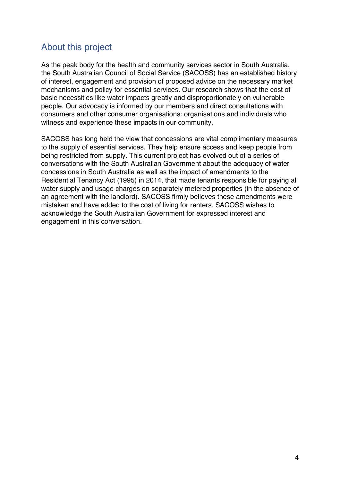# About this project

As the peak body for the health and community services sector in South Australia, the South Australian Council of Social Service (SACOSS) has an established history of interest, engagement and provision of proposed advice on the necessary market mechanisms and policy for essential services. Our research shows that the cost of basic necessities like water impacts greatly and disproportionately on vulnerable people. Our advocacy is informed by our members and direct consultations with consumers and other consumer organisations: organisations and individuals who witness and experience these impacts in our community.

SACOSS has long held the view that concessions are vital complimentary measures to the supply of essential services. They help ensure access and keep people from being restricted from supply. This current project has evolved out of a series of conversations with the South Australian Government about the adequacy of water concessions in South Australia as well as the impact of amendments to the Residential Tenancy Act (1995) in 2014, that made tenants responsible for paying all water supply and usage charges on separately metered properties (in the absence of an agreement with the landlord). SACOSS firmly believes these amendments were mistaken and have added to the cost of living for renters. SACOSS wishes to acknowledge the South Australian Government for expressed interest and engagement in this conversation.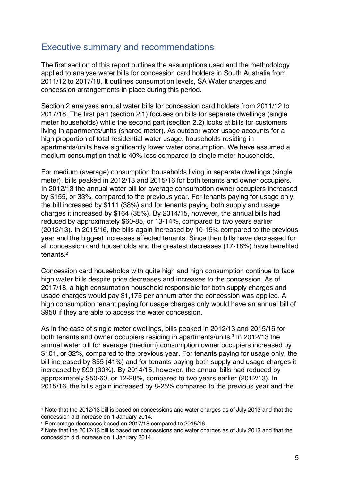# Executive summary and recommendations

The first section of this report outlines the assumptions used and the methodology applied to analyse water bills for concession card holders in South Australia from 2011/12 to 2017/18. It outlines consumption levels, SA Water charges and concession arrangements in place during this period.

Section 2 analyses annual water bills for concession card holders from 2011/12 to 2017/18. The first part (section 2.1) focuses on bills for separate dwellings (single meter households) while the second part (section 2.2) looks at bills for customers living in apartments/units (shared meter). As outdoor water usage accounts for a high proportion of total residential water usage, households residing in apartments/units have significantly lower water consumption. We have assumed a medium consumption that is 40% less compared to single meter households.

For medium (average) consumption households living in separate dwellings (single meter), bills peaked in 2012/13 and 2015/16 for both tenants and owner occupiers.<sup>1</sup> In 2012/13 the annual water bill for average consumption owner occupiers increased by \$155, or 33%, compared to the previous year. For tenants paying for usage only, the bill increased by \$111 (38%) and for tenants paying both supply and usage charges it increased by \$164 (35%). By 2014/15, however, the annual bills had reduced by approximately \$60-85, or 13-14%, compared to two years earlier (2012/13). In 2015/16, the bills again increased by 10-15% compared to the previous year and the biggest increases affected tenants. Since then bills have decreased for all concession card households and the greatest decreases (17-18%) have benefited tenants.2

Concession card households with quite high and high consumption continue to face high water bills despite price decreases and increases to the concession. As of 2017/18, a high consumption household responsible for both supply charges and usage charges would pay \$1,175 per annum after the concession was applied. A high consumption tenant paying for usage charges only would have an annual bill of \$950 if they are able to access the water concession.

As in the case of single meter dwellings, bills peaked in 2012/13 and 2015/16 for both tenants and owner occupiers residing in apartments/units.<sup>3</sup> In 2012/13 the annual water bill for average (medium) consumption owner occupiers increased by \$101, or 32%, compared to the previous year. For tenants paying for usage only, the bill increased by \$55 (41%) and for tenants paying both supply and usage charges it increased by \$99 (30%). By 2014/15, however, the annual bills had reduced by approximately \$50-60, or 12-28%, compared to two years earlier (2012/13). In 2015/16, the bills again increased by 8-25% compared to the previous year and the

<sup>1</sup> Note that the 2012/13 bill is based on concessions and water charges as of July 2013 and that the concession did increase on 1 January 2014.

<sup>2</sup> Percentage decreases based on 2017/18 compared to 2015/16.

<sup>3</sup> Note that the 2012/13 bill is based on concessions and water charges as of July 2013 and that the concession did increase on 1 January 2014.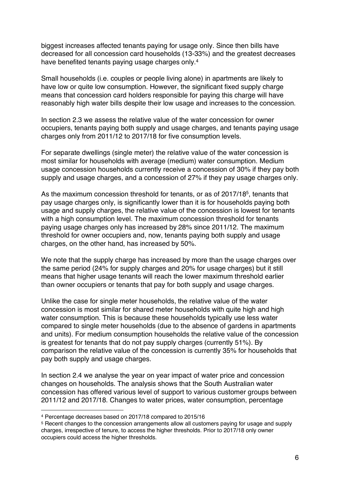biggest increases affected tenants paying for usage only. Since then bills have decreased for all concession card households (13-33%) and the greatest decreases have benefited tenants paying usage charges only.<sup>4</sup>

Small households (i.e. couples or people living alone) in apartments are likely to have low or quite low consumption. However, the significant fixed supply charge means that concession card holders responsible for paying this charge will have reasonably high water bills despite their low usage and increases to the concession.

In section 2.3 we assess the relative value of the water concession for owner occupiers, tenants paying both supply and usage charges, and tenants paying usage charges only from 2011/12 to 2017/18 for five consumption levels.

For separate dwellings (single meter) the relative value of the water concession is most similar for households with average (medium) water consumption. Medium usage concession households currently receive a concession of 30% if they pay both supply and usage charges, and a concession of 27% if they pay usage charges only.

As the maximum concession threshold for tenants, or as of 2017/185, tenants that pay usage charges only, is significantly lower than it is for households paying both usage and supply charges, the relative value of the concession is lowest for tenants with a high consumption level. The maximum concession threshold for tenants paying usage charges only has increased by 28% since 2011/12. The maximum threshold for owner occupiers and, now, tenants paying both supply and usage charges, on the other hand, has increased by 50%.

We note that the supply charge has increased by more than the usage charges over the same period (24% for supply charges and 20% for usage charges) but it still means that higher usage tenants will reach the lower maximum threshold earlier than owner occupiers or tenants that pay for both supply and usage charges.

Unlike the case for single meter households, the relative value of the water concession is most similar for shared meter households with quite high and high water consumption. This is because these households typically use less water compared to single meter households (due to the absence of gardens in apartments and units). For medium consumption households the relative value of the concession is greatest for tenants that do not pay supply charges (currently 51%). By comparison the relative value of the concession is currently 35% for households that pay both supply and usage charges.

In section 2.4 we analyse the year on year impact of water price and concession changes on households. The analysis shows that the South Australian water concession has offered various level of support to various customer groups between 2011/12 and 2017/18. Changes to water prices, water consumption, percentage

<sup>4</sup> Percentage decreases based on 2017/18 compared to 2015/16

<sup>5</sup> Recent changes to the concession arrangements allow all customers paying for usage and supply charges, irrespective of tenure, to access the higher thresholds. Prior to 2017/18 only owner occupiers could access the higher thresholds.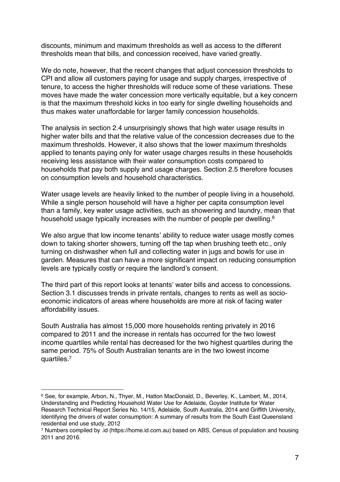discounts, minimum and maximum thresholds as well as access to the different thresholds mean that bills, and concession received, have varied greatly.

We do note, however, that the recent changes that adjust concession thresholds to CPI and allow all customers paying for usage and supply charges, irrespective of tenure, to access the higher thresholds will reduce some of these variations. These moves have made the water concession more vertically equitable, but a key concern is that the maximum threshold kicks in too early for single dwelling households and thus makes water unaffordable for larger family concession households.

The analysis in section 2.4 unsurprisingly shows that high water usage results in higher water bills and that the relative value of the concession decreases due to the maximum thresholds. However, it also shows that the lower maximum thresholds applied to tenants paying only for water usage charges results in these households receiving less assistance with their water consumption costs compared to households that pay both supply and usage charges. Section 2.5 therefore focuses on consumption levels and household characteristics.

Water usage levels are heavily linked to the number of people living in a household. While a single person household will have a higher per capita consumption level than a family, key water usage activities, such as showering and laundry, mean that household usage typically increases with the number of people per dwelling.<sup>6</sup>

We also argue that low income tenants' ability to reduce water usage mostly comes down to taking shorter showers, turning off the tap when brushing teeth etc., only turning on dishwasher when full and collecting water in jugs and bowls for use in garden. Measures that can have a more significant impact on reducing consumption levels are typically costly or require the landlord's consent.

The third part of this report looks at tenants' water bills and access to concessions. Section 3.1 discusses trends in private rentals, changes to rents as well as socioeconomic indicators of areas where households are more at risk of facing water affordability issues.

South Australia has almost 15,000 more households renting privately in 2016 compared to 2011 and the increase in rentals has occurred for the two lowest income quartiles while rental has decreased for the two highest quartiles during the same period. 75% of South Australian tenants are in the two lowest income quartiles.7

<sup>6</sup> See, for example, Arbon, N., Thyer, M., Hatton MacDonald, D., Beverley, K., Lambert, M., 2014, Understanding and Predicting Household Water Use for Adelaide, Goyder Institute for Water Research Technical Report Series No. 14/15, Adelaide, South Australia, 2014 and Griffith University, Identifying the drivers of water consumption: A summary of results from the South East Queensland residential end use study, 2012

<sup>7</sup> Numbers compiled by .id (https://home.id.com.au) based on ABS, Census of population and housing 2011 and 2016.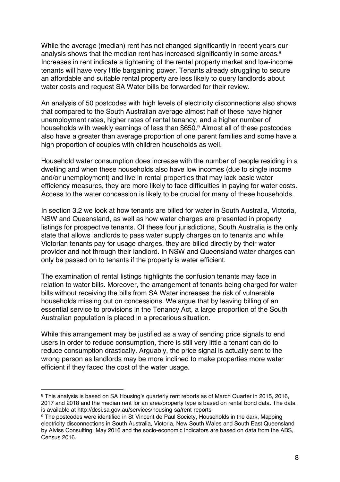While the average (median) rent has not changed significantly in recent years our analysis shows that the median rent has increased significantly in some areas.<sup>8</sup> Increases in rent indicate a tightening of the rental property market and low-income tenants will have very little bargaining power. Tenants already struggling to secure an affordable and suitable rental property are less likely to query landlords about water costs and request SA Water bills be forwarded for their review.

An analysis of 50 postcodes with high levels of electricity disconnections also shows that compared to the South Australian average almost half of these have higher unemployment rates, higher rates of rental tenancy, and a higher number of households with weekly earnings of less than \$650. <sup>9</sup> Almost all of these postcodes also have a greater than average proportion of one parent families and some have a high proportion of couples with children households as well.

Household water consumption does increase with the number of people residing in a dwelling and when these households also have low incomes (due to single income and/or unemployment) and live in rental properties that may lack basic water efficiency measures, they are more likely to face difficulties in paying for water costs. Access to the water concession is likely to be crucial for many of these households.

In section 3.2 we look at how tenants are billed for water in South Australia, Victoria, NSW and Queensland, as well as how water charges are presented in property listings for prospective tenants. Of these four jurisdictions, South Australia is the only state that allows landlords to pass water supply charges on to tenants and while Victorian tenants pay for usage charges, they are billed directly by their water provider and not through their landlord. In NSW and Queensland water charges can only be passed on to tenants if the property is water efficient.

The examination of rental listings highlights the confusion tenants may face in relation to water bills. Moreover, the arrangement of tenants being charged for water bills without receiving the bills from SA Water increases the risk of vulnerable households missing out on concessions. We argue that by leaving billing of an essential service to provisions in the Tenancy Act, a large proportion of the South Australian population is placed in a precarious situation.

While this arrangement may be justified as a way of sending price signals to end users in order to reduce consumption, there is still very little a tenant can do to reduce consumption drastically. Arguably, the price signal is actually sent to the wrong person as landlords may be more inclined to make properties more water efficient if they faced the cost of the water usage.

<sup>8</sup> This analysis is based on SA Housing's quarterly rent reports as of March Quarter in 2015, 2016, 2017 and 2018 and the median rent for an area/property type is based on rental bond data. The data is available at http://dcsi.sa.gov.au/services/housing-sa/rent-reports

<sup>9</sup> The postcodes were identified in St Vincent de Paul Society, Households in the dark, Mapping electricity disconnections in South Australia, Victoria, New South Wales and South East Queensland by Alviss Consulting, May 2016 and the socio-economic indicators are based on data from the ABS, Census 2016.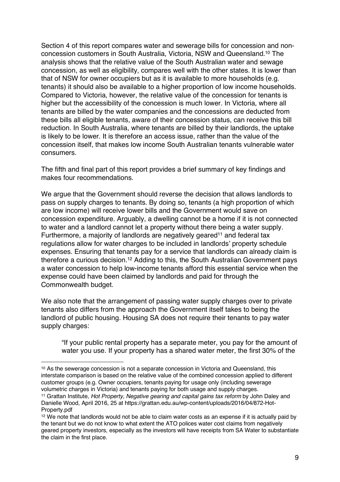Section 4 of this report compares water and sewerage bills for concession and nonconcession customers in South Australia, Victoria, NSW and Queensland.10 The analysis shows that the relative value of the South Australian water and sewage concession, as well as eligibility, compares well with the other states. It is lower than that of NSW for owner occupiers but as it is available to more households (e.g. tenants) it should also be available to a higher proportion of low income households. Compared to Victoria, however, the relative value of the concession for tenants is higher but the accessibility of the concession is much lower. In Victoria, where all tenants are billed by the water companies and the concessions are deducted from these bills all eligible tenants, aware of their concession status, can receive this bill reduction. In South Australia, where tenants are billed by their landlords, the uptake is likely to be lower. It is therefore an access issue, rather than the value of the concession itself, that makes low income South Australian tenants vulnerable water consumers.

The fifth and final part of this report provides a brief summary of key findings and makes four recommendations.

We argue that the Government should reverse the decision that allows landlords to pass on supply charges to tenants. By doing so, tenants (a high proportion of which are low income) will receive lower bills and the Government would save on concession expenditure. Arguably, a dwelling cannot be a home if it is not connected to water and a landlord cannot let a property without there being a water supply. Furthermore, a majority of landlords are negatively geared<sup>11</sup> and federal tax regulations allow for water charges to be included in landlords' property schedule expenses. Ensuring that tenants pay for a service that landlords can already claim is therefore a curious decision.12 Adding to this, the South Australian Government pays a water concession to help low-income tenants afford this essential service when the expense could have been claimed by landlords and paid for through the Commonwealth budget.

We also note that the arrangement of passing water supply charges over to private tenants also differs from the approach the Government itself takes to being the landlord of public housing. Housing SA does not require their tenants to pay water supply charges:

"If your public rental property has a separate meter, you pay for the amount of water you use. If your property has a shared water meter, the first 30% of the

<sup>10</sup> As the sewerage concession is not a separate concession in Victoria and Queensland, this interstate comparison is based on the relative value of the combined concession applied to different customer groups (e.g. Owner occupiers, tenants paying for usage only (including sewerage volumetric charges in Victoria) and tenants paying for both usage and supply charges.

<sup>11</sup> Grattan Institute, *Hot Property, Negative gearing and capital gains tax reform* by John Daley and Danielle Wood, April 2016, 25 at https://grattan.edu.au/wp-content/uploads/2016/04/872-Hot-Property.pdf

<sup>12</sup> We note that landlords would not be able to claim water costs as an expense if it is actually paid by the tenant but we do not know to what extent the ATO polices water cost claims from negatively geared property investors, especially as the investors will have receipts from SA Water to substantiate the claim in the first place.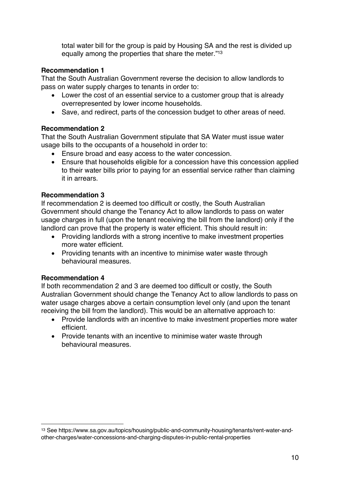total water bill for the group is paid by Housing SA and the rest is divided up equally among the properties that share the meter."13

#### **Recommendation 1**

That the South Australian Government reverse the decision to allow landlords to pass on water supply charges to tenants in order to:

- Lower the cost of an essential service to a customer group that is already overrepresented by lower income households.
- Save, and redirect, parts of the concession budget to other areas of need.

#### **Recommendation 2**

That the South Australian Government stipulate that SA Water must issue water usage bills to the occupants of a household in order to:

- Ensure broad and easy access to the water concession.
- Ensure that households eligible for a concession have this concession applied to their water bills prior to paying for an essential service rather than claiming it in arrears.

#### **Recommendation 3**

If recommendation 2 is deemed too difficult or costly, the South Australian Government should change the Tenancy Act to allow landlords to pass on water usage charges in full (upon the tenant receiving the bill from the landlord) only if the landlord can prove that the property is water efficient. This should result in:

- Providing landlords with a strong incentive to make investment properties more water efficient.
- Providing tenants with an incentive to minimise water waste through behavioural measures.

#### **Recommendation 4**

 $\overline{a}$ 

If both recommendation 2 and 3 are deemed too difficult or costly, the South Australian Government should change the Tenancy Act to allow landlords to pass on water usage charges above a certain consumption level only (and upon the tenant receiving the bill from the landlord). This would be an alternative approach to:

- Provide landlords with an incentive to make investment properties more water efficient.
- Provide tenants with an incentive to minimise water waste through behavioural measures.

<sup>13</sup> See https://www.sa.gov.au/topics/housing/public-and-community-housing/tenants/rent-water-andother-charges/water-concessions-and-charging-disputes-in-public-rental-properties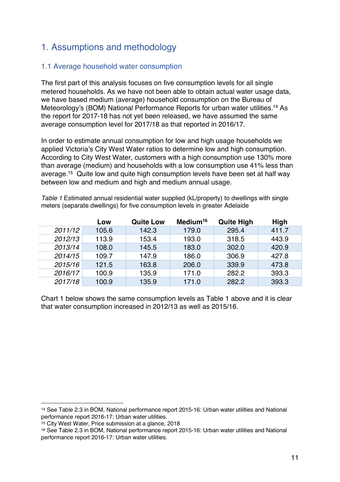# 1. Assumptions and methodology

#### 1.1 Average household water consumption

The first part of this analysis focuses on five consumption levels for all single metered households. As we have not been able to obtain actual water usage data, we have based medium (average) household consumption on the Bureau of Meteorology's (BOM) National Performance Reports for urban water utilities.14 As the report for 2017-18 has not yet been released, we have assumed the same average consumption level for 2017/18 as that reported in 2016/17.

In order to estimate annual consumption for low and high usage households we applied Victoria's City West Water ratios to determine low and high consumption. According to City West Water, customers with a high consumption use 130% more than average (medium) and households with a low consumption use 41% less than average.15 Quite low and quite high consumption levels have been set at half way between low and medium and high and medium annual usage.

*Table 1* Estimated annual residential water supplied (kL/property) to dwellings with single meters (separate dwellings) for five consumption levels in greater Adelaide

|         | Low   | <b>Quite Low</b> | Medium <sup>16</sup> | <b>Quite High</b> | <b>High</b> |
|---------|-------|------------------|----------------------|-------------------|-------------|
| 2011/12 | 105.6 | 142.3            | 179.0                | 295.4             | 411.7       |
| 2012/13 | 113.9 | 153.4            | 193.0                | 318.5             | 443.9       |
| 2013/14 | 108.0 | 145.5            | 183.0                | 302.0             | 420.9       |
| 2014/15 | 109.7 | 147.9            | 186.0                | 306.9             | 427.8       |
| 2015/16 | 121.5 | 163.8            | 206.0                | 339.9             | 473.8       |
| 2016/17 | 100.9 | 135.9            | 171.0                | 282.2             | 393.3       |
| 2017/18 | 100.9 | 135.9            | 171.0                | 282.2             | 393.3       |

Chart 1 below shows the same consumption levels as Table 1 above and it is clear that water consumption increased in 2012/13 as well as 2015/16.

<sup>14</sup> See Table 2.3 in BOM, National performance report 2015-16: Urban water utilities and National performance report 2016-17: Urban water utilities.

<sup>15</sup> City West Water, Price submission at a glance, 2018

<sup>16</sup> See Table 2.3 in BOM, National performance report 2015-16: Urban water utilities and National performance report 2016-17: Urban water utilities.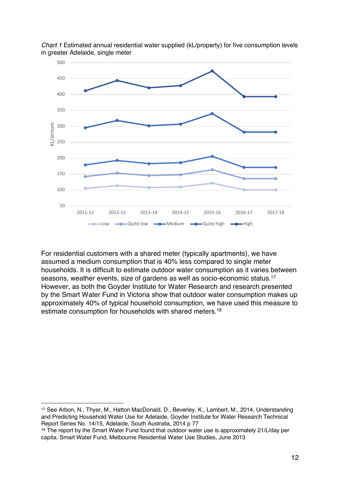

*Chart 1* Estimated annual residential water supplied (kL/property) for five consumption levels in greater Adelaide, single meter

For residential customers with a shared meter (typically apartments), we have assumed a medium consumption that is 40% less compared to single meter households. It is difficult to estimate outdoor water consumption as it varies between seasons, weather events, size of gardens as well as socio-economic status.17 However, as both the Goyder Institute for Water Research and research presented by the Smart Water Fund in Victoria show that outdoor water consumption makes up approximately 40% of typical household consumption, we have used this measure to estimate consumption for households with shared meters.18

 $\overline{a}$ <sup>17</sup> See Arbon, N., Thyer, M., Hatton MacDonald, D., Beverley, K., Lambert, M., 2014, Understanding and Predicting Household Water Use for Adelaide, Goyder Institute for Water Research Technical Report Series No. 14/15, Adelaide, South Australia, 2014 p 77

<sup>18</sup> The report by the Smart Water Fund found that outdoor water use is approximately 21/L/day per capita. Smart Water Fund, Melbourne Residential Water Use Studies, June 2013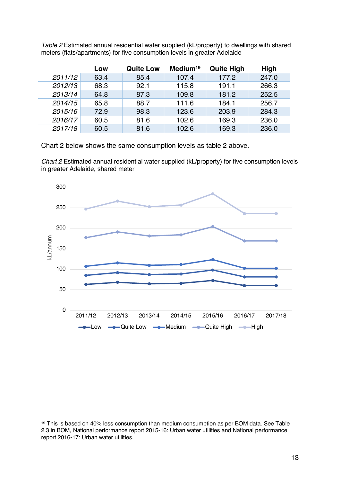| Table 2 Estimated annual residential water supplied (kL/property) to dwellings with shared |
|--------------------------------------------------------------------------------------------|
| meters (flats/apartments) for five consumption levels in greater Adelaide                  |
|                                                                                            |

|         | Low  | <b>Quite Low</b> | Medium <sup>19</sup> | <b>Quite High</b> | High  |
|---------|------|------------------|----------------------|-------------------|-------|
| 2011/12 | 63.4 | 85.4             | 107.4                | 177.2             | 247.0 |
| 2012/13 | 68.3 | 92.1             | 115.8                | 191.1             | 266.3 |
| 2013/14 | 64.8 | 87.3             | 109.8                | 181.2             | 252.5 |
| 2014/15 | 65.8 | 88.7             | 111.6                | 184.1             | 256.7 |
| 2015/16 | 72.9 | 98.3             | 123.6                | 203.9             | 284.3 |
| 2016/17 | 60.5 | 81.6             | 102.6                | 169.3             | 236.0 |
| 2017/18 | 60.5 | 81.6             | 102.6                | 169.3             | 236.0 |

Chart 2 below shows the same consumption levels as table 2 above.

*Chart 2* Estimated annual residential water supplied (kL/property) for five consumption levels in greater Adelaide, shared meter



<sup>19</sup> This is based on 40% less consumption than medium consumption as per BOM data. See Table 2.3 in BOM, National performance report 2015-16: Urban water utilities and National performance report 2016-17: Urban water utilities.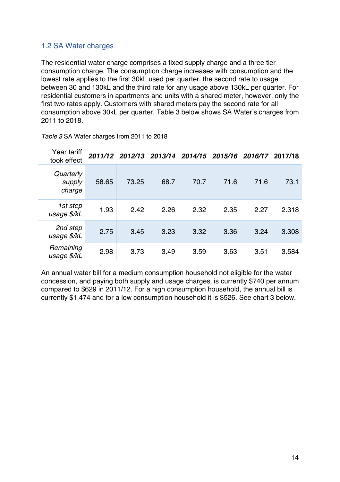#### 1.2 SA Water charges

The residential water charge comprises a fixed supply charge and a three tier consumption charge. The consumption charge increases with consumption and the lowest rate applies to the first 30kL used per quarter, the second rate to usage between 30 and 130kL and the third rate for any usage above 130kL per quarter. For residential customers in apartments and units with a shared meter, however, only the first two rates apply. Customers with shared meters pay the second rate for all consumption above 30kL per quarter. Table 3 below shows SA Water's charges from 2011 to 2018.

| Year tariff<br>took effect    |       | 2011/12 2012/13 2013/14 |      | 2014/15 | 2015/16 2016/17 |      | 2017/18 |
|-------------------------------|-------|-------------------------|------|---------|-----------------|------|---------|
| Quarterly<br>supply<br>charge | 58.65 | 73.25                   | 68.7 | 70.7    | 71.6            | 71.6 | 73.1    |
| 1st step<br>usage \$/kL       | 1.93  | 2.42                    | 2.26 | 2.32    | 2.35            | 2.27 | 2.318   |
| 2nd step<br>usage \$/kL       | 2.75  | 3.45                    | 3.23 | 3.32    | 3.36            | 3.24 | 3.308   |
| Remaining<br>usage \$/kL      | 2.98  | 3.73                    | 3.49 | 3.59    | 3.63            | 3.51 | 3.584   |

*Table 3* SA Water charges from 2011 to 2018

An annual water bill for a medium consumption household not eligible for the water concession, and paying both supply and usage charges, is currently \$740 per annum compared to \$629 in 2011/12. For a high consumption household, the annual bill is currently \$1,474 and for a low consumption household it is \$526. See chart 3 below.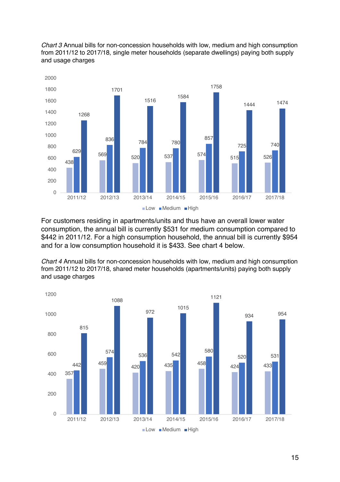*Chart 3* Annual bills for non-concession households with low, medium and high consumption from 2011/12 to 2017/18, single meter households (separate dwellings) paying both supply and usage charges



For customers residing in apartments/units and thus have an overall lower water consumption, the annual bill is currently \$531 for medium consumption compared to \$442 in 2011/12. For a high consumption household, the annual bill is currently \$954 and for a low consumption household it is \$433. See chart 4 below.

*Chart 4* Annual bills for non-concession households with low, medium and high consumption from 2011/12 to 2017/18, shared meter households (apartments/units) paying both supply and usage charges

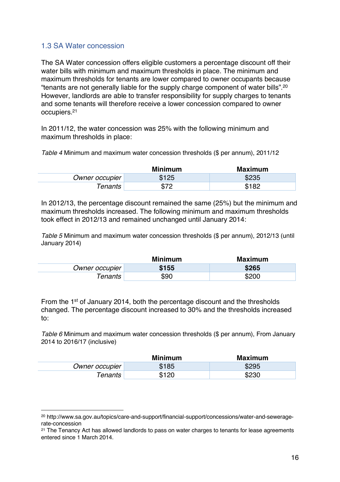#### 1.3 SA Water concession

 $\overline{a}$ 

The SA Water concession offers eligible customers a percentage discount off their water bills with minimum and maximum thresholds in place. The minimum and maximum thresholds for tenants are lower compared to owner occupants because "tenants are not generally liable for the supply charge component of water bills".20 However, landlords are able to transfer responsibility for supply charges to tenants and some tenants will therefore receive a lower concession compared to owner occupiers.21

In 2011/12, the water concession was 25% with the following minimum and maximum thresholds in place:

*Table 4* Minimum and maximum water concession thresholds (\$ per annum), 2011/12

|                 | <b>Minimum</b> | <b>Maximum</b> |
|-----------------|----------------|----------------|
| Owner occupier  | \$125          | \$235          |
| $\tau$ enants l | ጦግሮ            | \$182          |

In 2012/13, the percentage discount remained the same (25%) but the minimum and maximum thresholds increased. The following minimum and maximum thresholds took effect in 2012/13 and remained unchanged until January 2014:

*Table 5* Minimum and maximum water concession thresholds (\$ per annum), 2012/13 (until January 2014)

|                 | <b>Minimum</b> | <b>Maximum</b> |
|-----------------|----------------|----------------|
| Owner occupier  | \$155          | \$265          |
| $\tau$ enants l | \$90           | \$200          |

From the 1st of January 2014, both the percentage discount and the thresholds changed. The percentage discount increased to 30% and the thresholds increased to:

*Table 6* Minimum and maximum water concession thresholds (\$ per annum), From January 2014 to 2016/17 (inclusive)

|                | <b>Minimum</b> | Maximum |
|----------------|----------------|---------|
| Owner occupier | \$185          | \$295   |
| <b>Tenants</b> | \$120          | \$230   |

<sup>20</sup> http://www.sa.gov.au/topics/care-and-support/financial-support/concessions/water-and-seweragerate-concession

<sup>&</sup>lt;sup>21</sup> The Tenancy Act has allowed landlords to pass on water charges to tenants for lease agreements entered since 1 March 2014.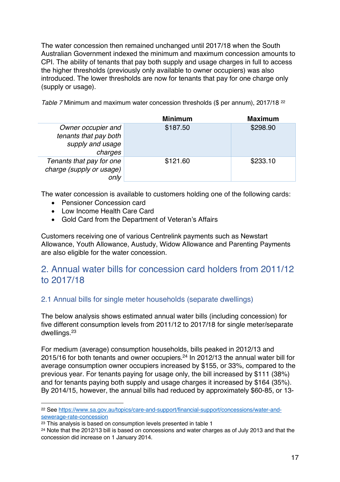The water concession then remained unchanged until 2017/18 when the South Australian Government indexed the minimum and maximum concession amounts to CPI. The ability of tenants that pay both supply and usage charges in full to access the higher thresholds (previously only available to owner occupiers) was also introduced. The lower thresholds are now for tenants that pay for one charge only (supply or usage).

*Table 7* Minimum and maximum water concession thresholds (\$ per annum), 2017/18<sup>22</sup>

|                          | <b>Minimum</b> | <b>Maximum</b> |
|--------------------------|----------------|----------------|
| Owner occupier and       | \$187.50       | \$298.90       |
| tenants that pay both    |                |                |
| supply and usage         |                |                |
| charges                  |                |                |
| Tenants that pay for one | \$121.60       | \$233.10       |
| charge (supply or usage) |                |                |
| only                     |                |                |

The water concession is available to customers holding one of the following cards:

- Pensioner Concession card
- Low Income Health Care Card
- Gold Card from the Department of Veteran's Affairs

Customers receiving one of various Centrelink payments such as Newstart Allowance, Youth Allowance, Austudy, Widow Allowance and Parenting Payments are also eligible for the water concession.

# 2. Annual water bills for concession card holders from 2011/12 to 2017/18

### 2.1 Annual bills for single meter households (separate dwellings)

The below analysis shows estimated annual water bills (including concession) for five different consumption levels from 2011/12 to 2017/18 for single meter/separate dwellings. 23

For medium (average) consumption households, bills peaked in 2012/13 and 2015/16 for both tenants and owner occupiers.24 In 2012/13 the annual water bill for average consumption owner occupiers increased by \$155, or 33%, compared to the previous year. For tenants paying for usage only, the bill increased by \$111 (38%) and for tenants paying both supply and usage charges it increased by \$164 (35%). By 2014/15, however, the annual bills had reduced by approximately \$60-85, or 13-

<sup>22</sup> See https://www.sa.gov.au/topics/care-and-support/financial-support/concessions/water-andsewerage-rate-concession

<sup>23</sup> This analysis is based on consumption levels presented in table 1

<sup>24</sup> Note that the 2012/13 bill is based on concessions and water charges as of July 2013 and that the concession did increase on 1 January 2014.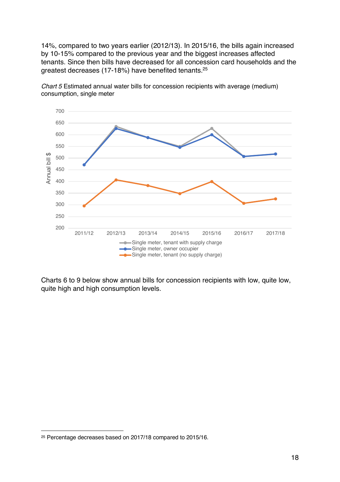14%, compared to two years earlier (2012/13). In 2015/16, the bills again increased by 10-15% compared to the previous year and the biggest increases affected tenants. Since then bills have decreased for all concession card households and the greatest decreases (17-18%) have benefited tenants.25



*Chart 5* Estimated annual water bills for concession recipients with average (medium) consumption, single meter

Charts 6 to 9 below show annual bills for concession recipients with low, quite low, quite high and high consumption levels.

<sup>25</sup> Percentage decreases based on 2017/18 compared to 2015/16.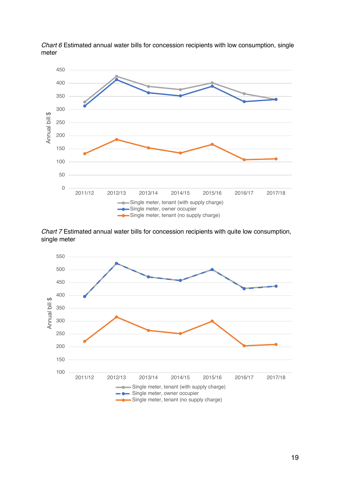

*Chart 6* Estimated annual water bills for concession recipients with low consumption, single meter

*Chart 7* Estimated annual water bills for concession recipients with quite low consumption, single meter

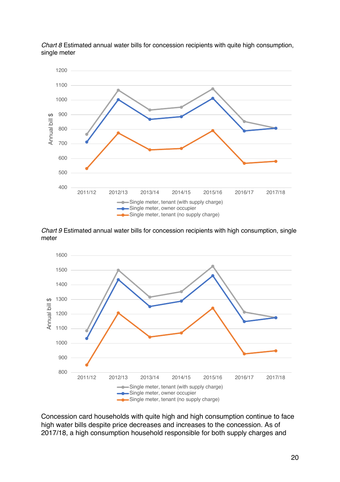

*Chart 8* Estimated annual water bills for concession recipients with quite high consumption, single meter

*Chart 9* Estimated annual water bills for concession recipients with high consumption, single meter



Concession card households with quite high and high consumption continue to face high water bills despite price decreases and increases to the concession. As of 2017/18, a high consumption household responsible for both supply charges and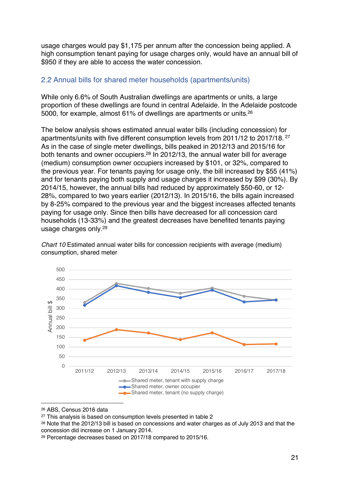usage charges would pay \$1,175 per annum after the concession being applied. A high consumption tenant paying for usage charges only, would have an annual bill of \$950 if they are able to access the water concession.

#### 2.2 Annual bills for shared meter households (apartments/units)

While only 6.6% of South Australian dwellings are apartments or units, a large proportion of these dwellings are found in central Adelaide. In the Adelaide postcode 5000, for example, almost 61% of dwellings are apartments or units. $^{26}$ 

The below analysis shows estimated annual water bills (including concession) for apartments/units with five different consumption levels from 2011/12 to 2017/18. <sup>27</sup> As in the case of single meter dwellings, bills peaked in 2012/13 and 2015/16 for both tenants and owner occupiers.<sup>28</sup> In 2012/13, the annual water bill for average (medium) consumption owner occupiers increased by \$101, or 32%, compared to the previous year. For tenants paying for usage only, the bill increased by \$55 (41%) and for tenants paying both supply and usage charges it increased by \$99 (30%). By 2014/15, however, the annual bills had reduced by approximately \$50-60, or 12- 28%, compared to two years earlier (2012/13). In 2015/16, the bills again increased by 8-25% compared to the previous year and the biggest increases affected tenants paying for usage only. Since then bills have decreased for all concession card households (13-33%) and the greatest decreases have benefited tenants paying usage charges only.29



*Chart 10* Estimated annual water bills for concession recipients with average (medium) consumption, shared meter

<sup>26</sup> ABS, Census 2016 data

<sup>27</sup> This analysis is based on consumption levels presented in table 2

<sup>28</sup> Note that the 2012/13 bill is based on concessions and water charges as of July 2013 and that the concession did increase on 1 January 2014.

<sup>29</sup> Percentage decreases based on 2017/18 compared to 2015/16.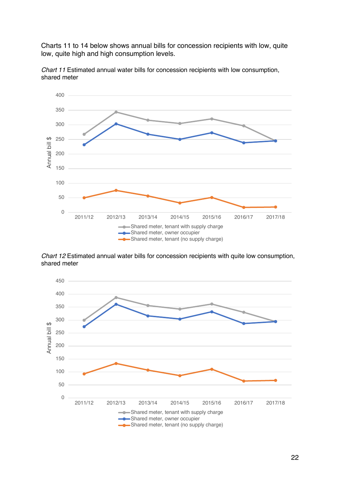Charts 11 to 14 below shows annual bills for concession recipients with low, quite low, quite high and high consumption levels.



*Chart 11* Estimated annual water bills for concession recipients with low consumption, shared meter

*Chart 12* Estimated annual water bills for concession recipients with quite low consumption, shared meter

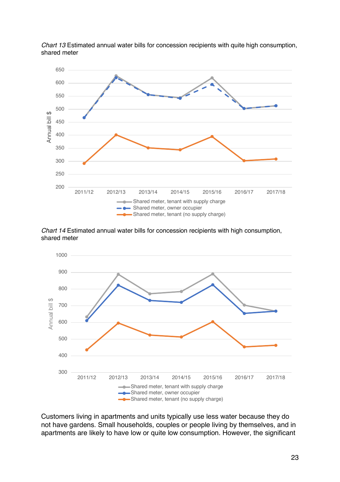

*Chart 13* Estimated annual water bills for concession recipients with quite high consumption, shared meter

*Chart 14* Estimated annual water bills for concession recipients with high consumption, shared meter



Customers living in apartments and units typically use less water because they do not have gardens. Small households, couples or people living by themselves, and in apartments are likely to have low or quite low consumption. However, the significant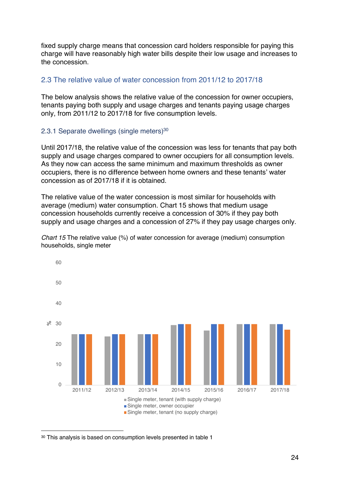fixed supply charge means that concession card holders responsible for paying this charge will have reasonably high water bills despite their low usage and increases to the concession.

#### 2.3 The relative value of water concession from 2011/12 to 2017/18

The below analysis shows the relative value of the concession for owner occupiers, tenants paying both supply and usage charges and tenants paying usage charges only, from 2011/12 to 2017/18 for five consumption levels.

#### 2.3.1 Separate dwellings (single meters)<sup>30</sup>

Until 2017/18, the relative value of the concession was less for tenants that pay both supply and usage charges compared to owner occupiers for all consumption levels. As they now can access the same minimum and maximum thresholds as owner occupiers, there is no difference between home owners and these tenants' water concession as of 2017/18 if it is obtained.

The relative value of the water concession is most similar for households with average (medium) water consumption. Chart 15 shows that medium usage concession households currently receive a concession of 30% if they pay both supply and usage charges and a concession of 27% if they pay usage charges only.

*Chart 15* The relative value (%) of water concession for average (medium) consumption households, single meter



<sup>30</sup> This analysis is based on consumption levels presented in table 1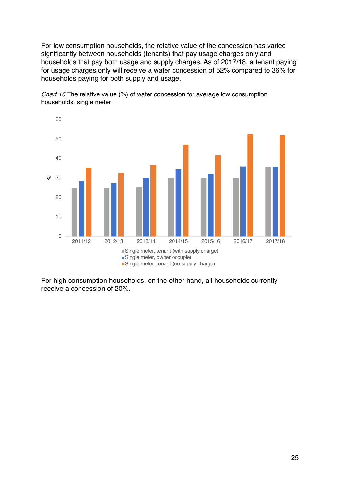For low consumption households, the relative value of the concession has varied significantly between households (tenants) that pay usage charges only and households that pay both usage and supply charges. As of 2017/18, a tenant paying for usage charges only will receive a water concession of 52% compared to 36% for households paying for both supply and usage.



*Chart 16* The relative value (%) of water concession for average low consumption households, single meter

For high consumption households, on the other hand, all households currently receive a concession of 20%.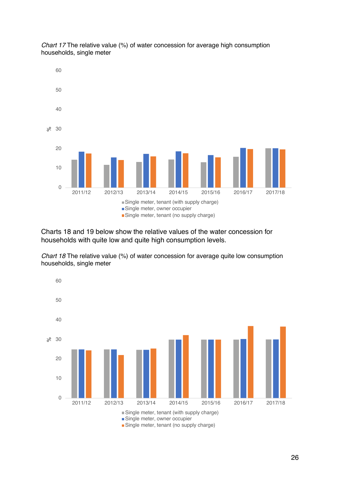

*Chart 17* The relative value (%) of water concession for average high consumption households, single meter

Charts 18 and 19 below show the relative values of the water concession for households with quite low and quite high consumption levels.

*Chart 18* The relative value (%) of water concession for average quite low consumption households, single meter

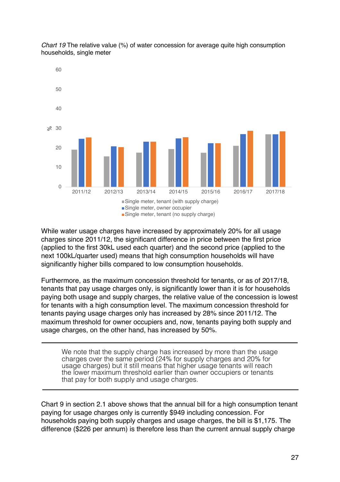

*Chart 19* The relative value (%) of water concession for average quite high consumption households, single meter

While water usage charges have increased by approximately 20% for all usage charges since 2011/12, the significant difference in price between the first price (applied to the first 30kL used each quarter) and the second price (applied to the next 100kL/quarter used) means that high consumption households will have significantly higher bills compared to low consumption households.

Furthermore, as the maximum concession threshold for tenants, or as of 2017/18, tenants that pay usage charges only, is significantly lower than it is for households paying both usage and supply charges, the relative value of the concession is lowest for tenants with a high consumption level. The maximum concession threshold for tenants paying usage charges only has increased by 28% since 2011/12. The maximum threshold for owner occupiers and, now, tenants paying both supply and usage charges, on the other hand, has increased by 50%.

We note that the supply charge has increased by more than the usage charges over the same period (24% for supply charges and 20% for usage charges) but it still means that higher usage tenants will reach the lower maximum threshold earlier than owner occupiers or tenants that pay for both supply and usage charges.

Chart 9 in section 2.1 above shows that the annual bill for a high consumption tenant paying for usage charges only is currently \$949 including concession. For households paying both supply charges and usage charges, the bill is \$1,175. The difference (\$226 per annum) is therefore less than the current annual supply charge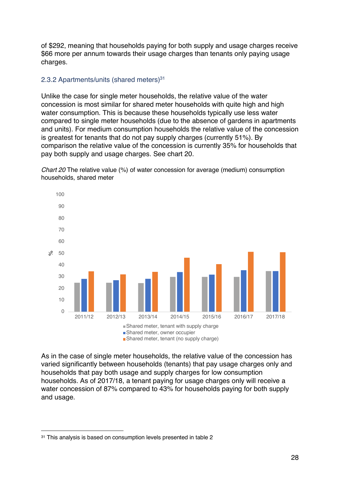of \$292, meaning that households paying for both supply and usage charges receive \$66 more per annum towards their usage charges than tenants only paying usage charges.

#### 2.3.2 Apartments/units (shared meters)<sup>31</sup>

Unlike the case for single meter households, the relative value of the water concession is most similar for shared meter households with quite high and high water consumption. This is because these households typically use less water compared to single meter households (due to the absence of gardens in apartments and units). For medium consumption households the relative value of the concession is greatest for tenants that do not pay supply charges (currently 51%). By comparison the relative value of the concession is currently 35% for households that pay both supply and usage charges. See chart 20.

*Chart 20* The relative value (%) of water concession for average (medium) consumption households, shared meter



As in the case of single meter households, the relative value of the concession has varied significantly between households (tenants) that pay usage charges only and households that pay both usage and supply charges for low consumption households. As of 2017/18, a tenant paying for usage charges only will receive a water concession of 87% compared to 43% for households paying for both supply and usage.

<sup>31</sup> This analysis is based on consumption levels presented in table 2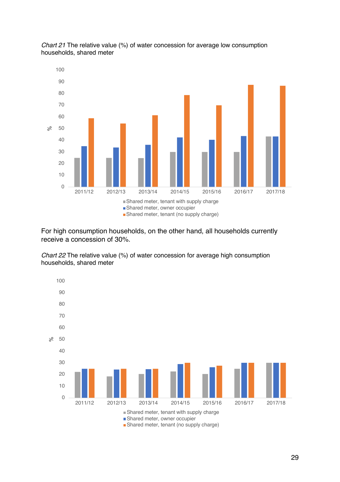

*Chart 21* The relative value (%) of water concession for average low consumption households, shared meter

For high consumption households, on the other hand, all households currently receive a concession of 30%.

*Chart 22* The relative value (%) of water concession for average high consumption households, shared meter

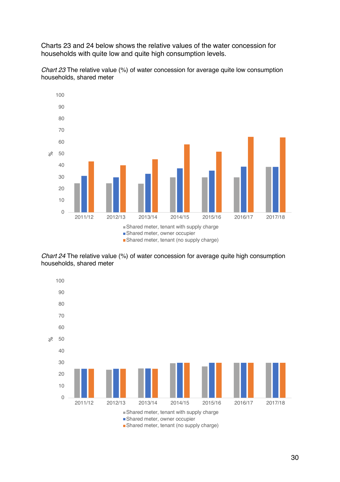Charts 23 and 24 below shows the relative values of the water concession for households with quite low and quite high consumption levels.



*Chart 23* The relative value (%) of water concession for average quite low consumption households, shared meter

*Chart 24* The relative value (%) of water concession for average quite high consumption households, shared meter

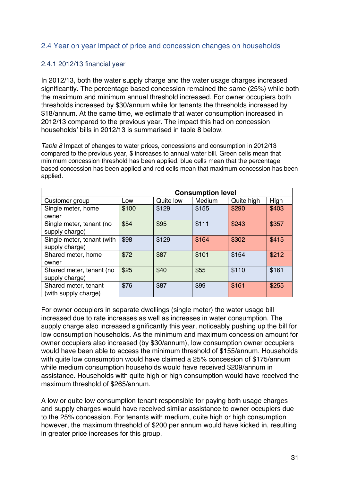#### 2.4 Year on year impact of price and concession changes on households

#### 2.4.1 2012/13 financial year

In 2012/13, both the water supply charge and the water usage charges increased significantly. The percentage based concession remained the same (25%) while both the maximum and minimum annual threshold increased. For owner occupiers both thresholds increased by \$30/annum while for tenants the thresholds increased by \$18/annum. At the same time, we estimate that water consumption increased in 2012/13 compared to the previous year. The impact this had on concession households' bills in 2012/13 is summarised in table 8 below.

*Table 8* Impact of changes to water prices, concessions and consumption in 2012/13 compared to the previous year, \$ increases to annual water bill. Green cells mean that minimum concession threshold has been applied, blue cells mean that the percentage based concession has been applied and red cells mean that maximum concession has been applied.

|                            | <b>Consumption level</b> |           |        |            |       |  |  |
|----------------------------|--------------------------|-----------|--------|------------|-------|--|--|
| Customer group             | Low                      | Quite low | Medium | Quite high | High  |  |  |
| Single meter, home         | \$100                    | \$129     | \$155  | \$290      | \$403 |  |  |
| owner                      |                          |           |        |            |       |  |  |
| Single meter, tenant (no   | \$54                     | \$95      | \$111  | \$243      | \$357 |  |  |
| supply charge)             |                          |           |        |            |       |  |  |
| Single meter, tenant (with | \$98                     | \$129     | \$164  | \$302      | \$415 |  |  |
| supply charge)             |                          |           |        |            |       |  |  |
| Shared meter, home         | \$72                     | \$87      | \$101  | \$154      | \$212 |  |  |
| owner                      |                          |           |        |            |       |  |  |
| Shared meter, tenant (no   | \$25                     | \$40      | \$55   | \$110      | \$161 |  |  |
| supply charge)             |                          |           |        |            |       |  |  |
| Shared meter, tenant       | \$76                     | \$87      | \$99   | \$161      | \$255 |  |  |
| (with supply charge)       |                          |           |        |            |       |  |  |

For owner occupiers in separate dwellings (single meter) the water usage bill increased due to rate increases as well as increases in water consumption. The supply charge also increased significantly this year, noticeably pushing up the bill for low consumption households. As the minimum and maximum concession amount for owner occupiers also increased (by \$30/annum), low consumption owner occupiers would have been able to access the minimum threshold of \$155/annum. Households with quite low consumption would have claimed a 25% concession of \$175/annum while medium consumption households would have received \$209/annum in assistance. Households with quite high or high consumption would have received the maximum threshold of \$265/annum.

A low or quite low consumption tenant responsible for paying both usage charges and supply charges would have received similar assistance to owner occupiers due to the 25% concession. For tenants with medium, quite high or high consumption however, the maximum threshold of \$200 per annum would have kicked in, resulting in greater price increases for this group.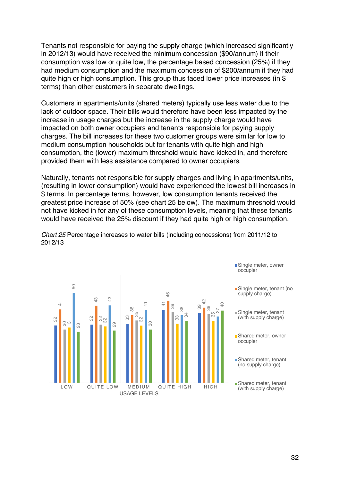Tenants not responsible for paying the supply charge (which increased significantly in 2012/13) would have received the minimum concession (\$90/annum) if their consumption was low or quite low, the percentage based concession (25%) if they had medium consumption and the maximum concession of \$200/annum if they had quite high or high consumption. This group thus faced lower price increases (in \$ terms) than other customers in separate dwellings.

Customers in apartments/units (shared meters) typically use less water due to the lack of outdoor space. Their bills would therefore have been less impacted by the increase in usage charges but the increase in the supply charge would have impacted on both owner occupiers and tenants responsible for paying supply charges. The bill increases for these two customer groups were similar for low to medium consumption households but for tenants with quite high and high consumption, the (lower) maximum threshold would have kicked in, and therefore provided them with less assistance compared to owner occupiers.

Naturally, tenants not responsible for supply charges and living in apartments/units, (resulting in lower consumption) would have experienced the lowest bill increases in \$ terms. In percentage terms, however, low consumption tenants received the greatest price increase of 50% (see chart 25 below). The maximum threshold would not have kicked in for any of these consumption levels, meaning that these tenants would have received the 25% discount if they had quite high or high consumption.



*Chart 25* Percentage increases to water bills (including concessions) from 2011/12 to 2012/13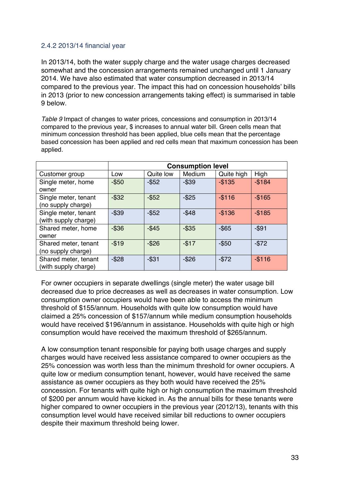#### 2.4.2 2013/14 financial year

In 2013/14, both the water supply charge and the water usage charges decreased somewhat and the concession arrangements remained unchanged until 1 January 2014. We have also estimated that water consumption decreased in 2013/14 compared to the previous year. The impact this had on concession households' bills in 2013 (prior to new concession arrangements taking effect) is summarised in table 9 below.

*Table 9* Impact of changes to water prices, concessions and consumption in 2013/14 compared to the previous year, \$ increases to annual water bill. Green cells mean that minimum concession threshold has been applied, blue cells mean that the percentage based concession has been applied and red cells mean that maximum concession has been applied.

|                      | <b>Consumption level</b> |           |          |            |           |  |
|----------------------|--------------------------|-----------|----------|------------|-----------|--|
| Customer group       | Low                      | Quite low | Medium   | Quite high | High      |  |
| Single meter, home   | $-$ \$50                 | $-$ \$52  | $-$ \$39 | $-$135$    | $-$184$   |  |
| owner                |                          |           |          |            |           |  |
| Single meter, tenant | $-$ \$32                 | $-$ \$52  | $-$ \$25 | $-$116$    | $-$165$   |  |
| (no supply charge)   |                          |           |          |            |           |  |
| Single meter, tenant | $-$ \$39                 | $-$ \$52  | $-$ \$48 | $-$136$    | $-$ \$185 |  |
| (with supply charge) |                          |           |          |            |           |  |
| Shared meter, home   | $-$ \$36                 | $-$ \$45  | $-$ \$35 | $-$ \$65   | $-$ \$91  |  |
| owner                |                          |           |          |            |           |  |
| Shared meter, tenant | $-$19$                   | $-$ \$26  | $-$17$   | $-$ \$50   | $-$72$    |  |
| (no supply charge)   |                          |           |          |            |           |  |
| Shared meter, tenant | $-$ \$28                 | $-$ \$31  | $-$ \$26 | $-$72$     | $-$116$   |  |
| (with supply charge) |                          |           |          |            |           |  |

For owner occupiers in separate dwellings (single meter) the water usage bill decreased due to price decreases as well as decreases in water consumption. Low consumption owner occupiers would have been able to access the minimum threshold of \$155/annum. Households with quite low consumption would have claimed a 25% concession of \$157/annum while medium consumption households would have received \$196/annum in assistance. Households with quite high or high consumption would have received the maximum threshold of \$265/annum.

A low consumption tenant responsible for paying both usage charges and supply charges would have received less assistance compared to owner occupiers as the 25% concession was worth less than the minimum threshold for owner occupiers. A quite low or medium consumption tenant, however, would have received the same assistance as owner occupiers as they both would have received the 25% concession. For tenants with quite high or high consumption the maximum threshold of \$200 per annum would have kicked in. As the annual bills for these tenants were higher compared to owner occupiers in the previous year (2012/13), tenants with this consumption level would have received similar bill reductions to owner occupiers despite their maximum threshold being lower.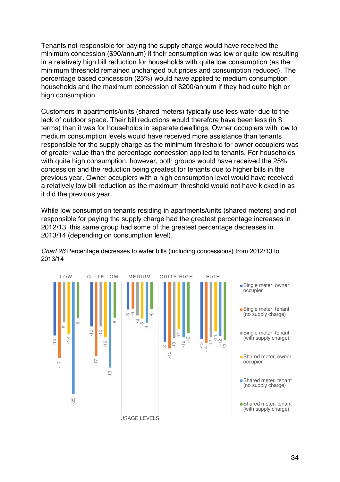Tenants not responsible for paying the supply charge would have received the minimum concession (\$90/annum) if their consumption was low or quite low resulting in a relatively high bill reduction for households with quite low consumption (as the minimum threshold remained unchanged but prices and consumption reduced). The percentage based concession (25%) would have applied to medium consumption households and the maximum concession of \$200/annum if they had quite high or high consumption.

Customers in apartments/units (shared meters) typically use less water due to the lack of outdoor space. Their bill reductions would therefore have been less (in \$ terms) than it was for households in separate dwellings. Owner occupiers with low to medium consumption levels would have received more assistance than tenants responsible for the supply charge as the minimum threshold for owner occupiers was of greater value than the percentage concession applied to tenants. For households with quite high consumption, however, both groups would have received the 25% concession and the reduction being greatest for tenants due to higher bills in the previous year. Owner occupiers with a high consumption level would have received a relatively low bill reduction as the maximum threshold would not have kicked in as it did the previous year.

While low consumption tenants residing in apartments/units (shared meters) and not responsible for paying the supply charge had the greatest percentage increases in 2012/13, this same group had some of the greatest percentage decreases in 2013/14 (depending on consumption level).



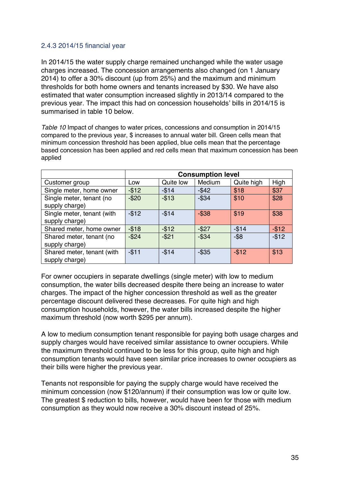#### 2.4.3 2014/15 financial year

In 2014/15 the water supply charge remained unchanged while the water usage charges increased. The concession arrangements also changed (on 1 January 2014) to offer a 30% discount (up from 25%) and the maximum and minimum thresholds for both home owners and tenants increased by \$30. We have also estimated that water consumption increased slightly in 2013/14 compared to the previous year. The impact this had on concession households' bills in 2014/15 is summarised in table 10 below.

*Table 10* Impact of changes to water prices, concessions and consumption in 2014/15 compared to the previous year, \$ increases to annual water bill. Green cells mean that minimum concession threshold has been applied, blue cells mean that the percentage based concession has been applied and red cells mean that maximum concession has been applied

|                            | <b>Consumption level</b> |           |          |            |        |  |
|----------------------------|--------------------------|-----------|----------|------------|--------|--|
| Customer group             | Low                      | Quite low | Medium   | Quite high | High   |  |
| Single meter, home owner   | $-$12$                   | $-$14$    | $-$ \$42 | \$18       | \$37   |  |
| Single meter, tenant (no   | $-$20$                   | $-$13$    | $-$ \$34 | \$10       | \$28   |  |
| supply charge)             |                          |           |          |            |        |  |
| Single meter, tenant (with | $-$12$                   | $-$14$    | $-$ \$38 | \$19       | \$38   |  |
| supply charge)             |                          |           |          |            |        |  |
| Shared meter, home owner   | $-$18$                   | $-$12$    | $-$ \$27 | $-$14$     | $-$12$ |  |
| Shared meter, tenant (no   | $-$ \$24                 | $-$21$    | $-$ \$34 | $-$ \$8    | $-$12$ |  |
| supply charge)             |                          |           |          |            |        |  |
| Shared meter, tenant (with | $-$11$                   | $-$14$    | $-$ \$35 | $-$12$     | \$13   |  |
| supply charge)             |                          |           |          |            |        |  |

For owner occupiers in separate dwellings (single meter) with low to medium consumption, the water bills decreased despite there being an increase to water charges. The impact of the higher concession threshold as well as the greater percentage discount delivered these decreases. For quite high and high consumption households, however, the water bills increased despite the higher maximum threshold (now worth \$295 per annum).

A low to medium consumption tenant responsible for paying both usage charges and supply charges would have received similar assistance to owner occupiers. While the maximum threshold continued to be less for this group, quite high and high consumption tenants would have seen similar price increases to owner occupiers as their bills were higher the previous year.

Tenants not responsible for paying the supply charge would have received the minimum concession (now \$120/annum) if their consumption was low or quite low. The greatest \$ reduction to bills, however, would have been for those with medium consumption as they would now receive a 30% discount instead of 25%.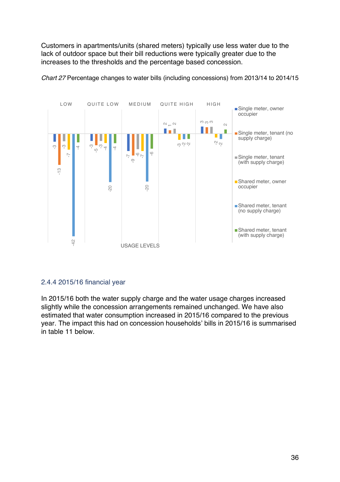Customers in apartments/units (shared meters) typically use less water due to the lack of outdoor space but their bill reductions were typically greater due to the increases to the thresholds and the percentage based concession.



*Chart 27* Percentage changes to water bills (including concessions) from 2013/14 to 2014/15

#### 2.4.4 2015/16 financial year

In 2015/16 both the water supply charge and the water usage charges increased slightly while the concession arrangements remained unchanged. We have also estimated that water consumption increased in 2015/16 compared to the previous year. The impact this had on concession households' bills in 2015/16 is summarised in table 11 below.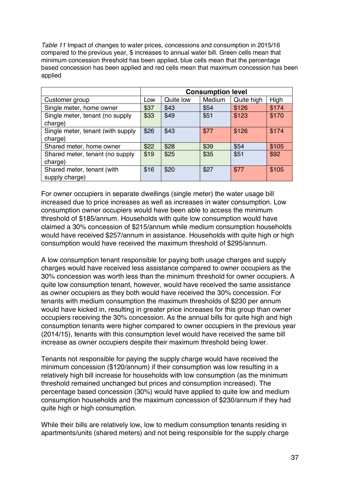*Table 11* Impact of changes to water prices, concessions and consumption in 2015/16 compared to the previous year, \$ increases to annual water bill. Green cells mean that minimum concession threshold has been applied, blue cells mean that the percentage based concession has been applied and red cells mean that maximum concession has been applied

|                                   | <b>Consumption level</b> |           |        |            |       |
|-----------------------------------|--------------------------|-----------|--------|------------|-------|
| Customer group                    | Low                      | Quite low | Medium | Quite high | High  |
| Single meter, home owner          | \$37                     | \$43      | \$54   | \$126      | \$174 |
| Single meter, tenant (no supply   | \$33                     | \$49      | \$51   | \$123      | \$170 |
| charge)                           |                          |           |        |            |       |
| Single meter, tenant (with supply | \$26                     | \$43      | \$77   | \$126      | \$174 |
| charge)                           |                          |           |        |            |       |
| Shared meter, home owner          | \$22                     | \$28      | \$39   | \$54       | \$105 |
| Shared meter, tenant (no supply   | \$19                     | \$25      | \$35   | \$51       | \$92  |
| charge)                           |                          |           |        |            |       |
| Shared meter, tenant (with        | \$16                     | \$20      | \$27   | \$77       | \$105 |
| supply charge)                    |                          |           |        |            |       |

For owner occupiers in separate dwellings (single meter) the water usage bill increased due to price increases as well as increases in water consumption. Low consumption owner occupiers would have been able to access the minimum threshold of \$185/annum. Households with quite low consumption would have claimed a 30% concession of \$215/annum while medium consumption households would have received \$257/annum in assistance. Households with quite high or high consumption would have received the maximum threshold of \$295/annum.

A low consumption tenant responsible for paying both usage charges and supply charges would have received less assistance compared to owner occupiers as the 30% concession was worth less than the minimum threshold for owner occupiers. A quite low consumption tenant, however, would have received the same assistance as owner occupiers as they both would have received the 30% concession. For tenants with medium consumption the maximum thresholds of \$230 per annum would have kicked in, resulting in greater price increases for this group than owner occupiers receiving the 30% concession. As the annual bills for quite high and high consumption tenants were higher compared to owner occupiers in the previous year (2014/15), tenants with this consumption level would have received the same bill increase as owner occupiers despite their maximum threshold being lower.

Tenants not responsible for paying the supply charge would have received the minimum concession (\$120/annum) if their consumption was low resulting in a relatively high bill increase for households with low consumption (as the minimum threshold remained unchanged but prices and consumption increased). The percentage based concession (30%) would have applied to quite low and medium consumption households and the maximum concession of \$230/annum if they had quite high or high consumption.

While their bills are relatively low, low to medium consumption tenants residing in apartments/units (shared meters) and not being responsible for the supply charge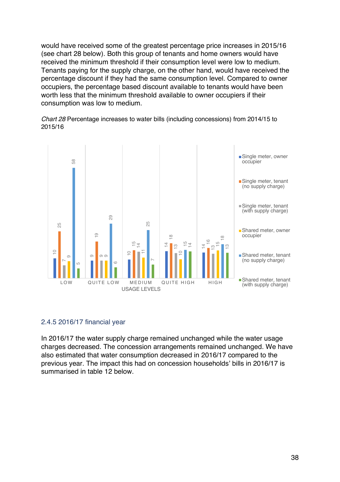would have received some of the greatest percentage price increases in 2015/16 (see chart 28 below). Both this group of tenants and home owners would have received the minimum threshold if their consumption level were low to medium. Tenants paying for the supply charge, on the other hand, would have received the percentage discount if they had the same consumption level. Compared to owner occupiers, the percentage based discount available to tenants would have been worth less that the minimum threshold available to owner occupiers if their consumption was low to medium.

*Chart 28* Percentage increases to water bills (including concessions) from 2014/15 to 2015/16



#### 2.4.5 2016/17 financial year

In 2016/17 the water supply charge remained unchanged while the water usage charges decreased. The concession arrangements remained unchanged. We have also estimated that water consumption decreased in 2016/17 compared to the previous year. The impact this had on concession households' bills in 2016/17 is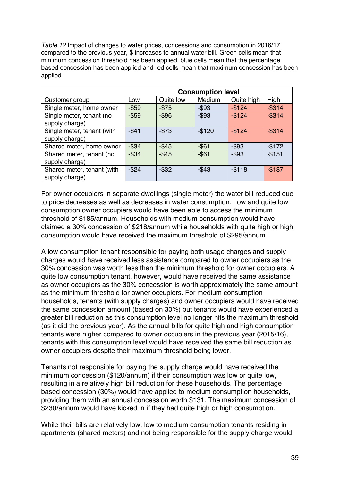*Table 12* Impact of changes to water prices, concessions and consumption in 2016/17 compared to the previous year, \$ increases to annual water bill. Green cells mean that minimum concession threshold has been applied, blue cells mean that the percentage based concession has been applied and red cells mean that maximum concession has been applied

|                                              | <b>Consumption level</b> |           |          |            |           |
|----------------------------------------------|--------------------------|-----------|----------|------------|-----------|
| Customer group                               | Low                      | Quite low | Medium   | Quite high | High      |
| Single meter, home owner                     | $-$ \$59                 | $-$75$    | $-$ \$93 | $-$124$    | $-$ \$314 |
| Single meter, tenant (no<br>supply charge)   | $-$ \$59                 | $-$ \$96  | $-$ \$93 | $-$124$    | $-$ \$314 |
| Single meter, tenant (with<br>supply charge) | $-$41$                   | $-$73$    | $-$120$  | $-$124$    | $-$ \$314 |
| Shared meter, home owner                     | $-$ \$34                 | $-$ \$45  | $-$ \$61 | $-$ \$93   | $-$172$   |
| Shared meter, tenant (no<br>supply charge)   | $-$ \$34                 | $-$ \$45  | $-$ \$61 | $-$ \$93   | $-$151$   |
| Shared meter, tenant (with<br>supply charge) | $-$ \$24                 | $-$ \$32  | $-$43$   | $-$118$    | $-$187$   |

For owner occupiers in separate dwellings (single meter) the water bill reduced due to price decreases as well as decreases in water consumption. Low and quite low consumption owner occupiers would have been able to access the minimum threshold of \$185/annum. Households with medium consumption would have claimed a 30% concession of \$218/annum while households with quite high or high consumption would have received the maximum threshold of \$295/annum.

A low consumption tenant responsible for paying both usage charges and supply charges would have received less assistance compared to owner occupiers as the 30% concession was worth less than the minimum threshold for owner occupiers. A quite low consumption tenant, however, would have received the same assistance as owner occupiers as the 30% concession is worth approximately the same amount as the minimum threshold for owner occupiers. For medium consumption households, tenants (with supply charges) and owner occupiers would have received the same concession amount (based on 30%) but tenants would have experienced a greater bill reduction as this consumption level no longer hits the maximum threshold (as it did the previous year). As the annual bills for quite high and high consumption tenants were higher compared to owner occupiers in the previous year (2015/16), tenants with this consumption level would have received the same bill reduction as owner occupiers despite their maximum threshold being lower.

Tenants not responsible for paying the supply charge would have received the minimum concession (\$120/annum) if their consumption was low or quite low, resulting in a relatively high bill reduction for these households. The percentage based concession (30%) would have applied to medium consumption households, providing them with an annual concession worth \$131. The maximum concession of \$230/annum would have kicked in if they had quite high or high consumption.

While their bills are relatively low, low to medium consumption tenants residing in apartments (shared meters) and not being responsible for the supply charge would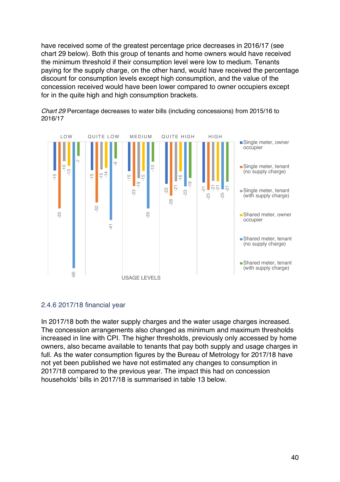have received some of the greatest percentage price decreases in 2016/17 (see chart 29 below). Both this group of tenants and home owners would have received the minimum threshold if their consumption level were low to medium. Tenants paying for the supply charge, on the other hand, would have received the percentage discount for consumption levels except high consumption, and the value of the concession received would have been lower compared to owner occupiers except for in the quite high and high consumption brackets.



*Chart 29* Percentage decreases to water bills (including concessions) from 2015/16 to 2016/17

#### 2.4.6 2017/18 financial year

In 2017/18 both the water supply charges and the water usage charges increased. The concession arrangements also changed as minimum and maximum thresholds increased in line with CPI. The higher thresholds, previously only accessed by home owners, also became available to tenants that pay both supply and usage charges in full. As the water consumption figures by the Bureau of Metrology for 2017/18 have not yet been published we have not estimated any changes to consumption in 2017/18 compared to the previous year. The impact this had on concession households' bills in 2017/18 is summarised in table 13 below.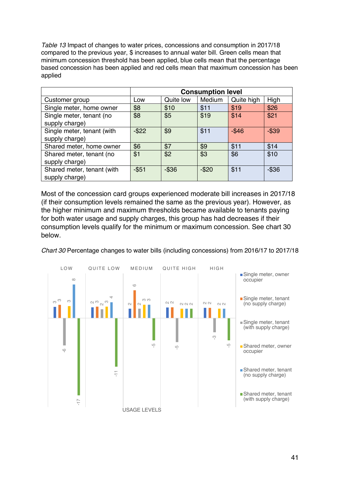*Table 13* Impact of changes to water prices, concessions and consumption in 2017/18 compared to the previous year, \$ increases to annual water bill. Green cells mean that minimum concession threshold has been applied, blue cells mean that the percentage based concession has been applied and red cells mean that maximum concession has been applied

|                                              | <b>Consumption level</b> |           |        |            |          |
|----------------------------------------------|--------------------------|-----------|--------|------------|----------|
| Customer group                               | Low                      | Quite low | Medium | Quite high | High     |
| Single meter, home owner                     | \$8                      | \$10      | \$11   | \$19       | \$26     |
| Single meter, tenant (no<br>supply charge)   | \$8                      | \$5       | \$19   | \$14       | \$21     |
| Single meter, tenant (with<br>supply charge) | $-$ \$22                 | \$9       | \$11   | $-$ \$46   | $-$ \$39 |
| Shared meter, home owner                     | \$6                      | \$7       | \$9    | \$11       | \$14     |
| Shared meter, tenant (no<br>supply charge)   | \$1                      | \$2       | \$3    | \$6        | \$10     |
| Shared meter, tenant (with<br>supply charge) | $- $51$                  | $-$ \$36  | $-$20$ | \$11       | $-$ \$36 |

Most of the concession card groups experienced moderate bill increases in 2017/18 (if their consumption levels remained the same as the previous year). However, as the higher minimum and maximum thresholds became available to tenants paying for both water usage and supply charges, this group has had decreases if their consumption levels qualify for the minimum or maximum concession. See chart 30 below.



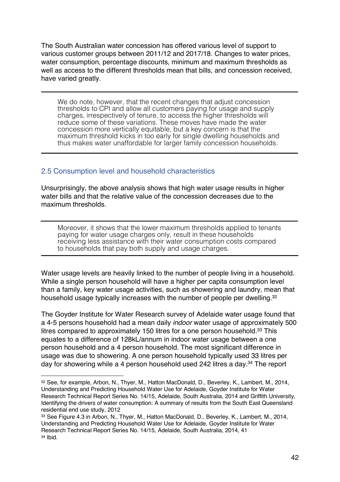The South Australian water concession has offered various level of support to various customer groups between 2011/12 and 2017/18. Changes to water prices, water consumption, percentage discounts, minimum and maximum thresholds as well as access to the different thresholds mean that bills, and concession received, have varied greatly.

We do note, however, that the recent changes that adjust concession thresholds to CPI and allow all customers paying for usage and supply charges, irrespectively of tenure, to access the higher thresholds will reduce some of these variations. These moves have made the water concession more vertically equitable, but a key concern is that the maximum threshold kicks in too early for single dwelling households and thus makes water unaffordable for larger family concession households.

#### 2.5 Consumption level and household characteristics

 $\overline{a}$ 

Unsurprisingly, the above analysis shows that high water usage results in higher water bills and that the relative value of the concession decreases due to the maximum thresholds.

Moreover, it shows that the lower maximum thresholds applied to tenants paying for water usage charges only, result in these households receiving less assistance with their water consumption costs compared to households that pay both supply and usage charges.

Water usage levels are heavily linked to the number of people living in a household. While a single person household will have a higher per capita consumption level than a family, key water usage activities, such as showering and laundry, mean that household usage typically increases with the number of people per dwelling.32

The Goyder Institute for Water Research survey of Adelaide water usage found that a 4-5 persons household had a mean daily *indoor* water usage of approximately 500 litres compared to approximately 150 litres for a one person household.<sup>33</sup> This equates to a difference of 128kL/annum in indoor water usage between a one person household and a 4 person household. The most significant difference in usage was due to showering. A one person household typically used 33 litres per day for showering while a 4 person household used 242 litres a day.<sup>34</sup> The report

<sup>32</sup> See, for example, Arbon, N., Thyer, M., Hatton MacDonald, D., Beverley, K., Lambert, M., 2014, Understanding and Predicting Household Water Use for Adelaide, Goyder Institute for Water Research Technical Report Series No. 14/15, Adelaide, South Australia, 2014 and Griffith University, Identifying the drivers of water consumption: A summary of results from the South East Queensland residential end use study, 2012

<sup>33</sup> See Figure 4.3 in Arbon, N., Thyer, M., Hatton MacDonald, D., Beverley, K., Lambert, M., 2014, Understanding and Predicting Household Water Use for Adelaide, Goyder Institute for Water Research Technical Report Series No. 14/15, Adelaide, South Australia, 2014, 41 <sup>34</sup> Ibid.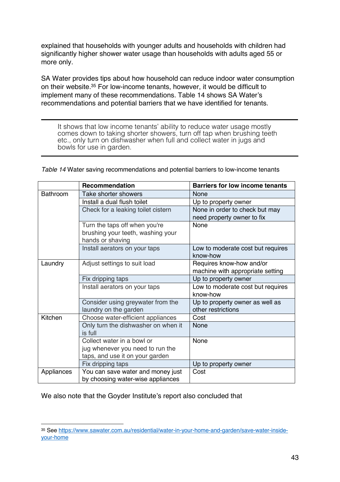explained that households with younger adults and households with children had significantly higher shower water usage than households with adults aged 55 or more only.

SA Water provides tips about how household can reduce indoor water consumption on their website.35 For low-income tenants, however, it would be difficult to implement many of these recommendations. Table 14 shows SA Water's recommendations and potential barriers that we have identified for tenants.

It shows that low income tenants' ability to reduce water usage mostly comes down to taking shorter showers, turn off tap when brushing teeth etc., only turn on dishwasher when full and collect water in jugs and bowls for use in garden.

|                 | Recommendation                      | <b>Barriers for low income tenants</b> |
|-----------------|-------------------------------------|----------------------------------------|
| <b>Bathroom</b> | Take shorter showers                | None                                   |
|                 | Install a dual flush toilet         | Up to property owner                   |
|                 | Check for a leaking toilet cistern  | None in order to check but may         |
|                 |                                     | need property owner to fix             |
|                 | Turn the taps off when you're       | None                                   |
|                 | brushing your teeth, washing your   |                                        |
|                 | hands or shaving                    |                                        |
|                 | Install aerators on your taps       | Low to moderate cost but requires      |
|                 |                                     | know-how                               |
| Laundry         | Adjust settings to suit load        | Requires know-how and/or               |
|                 |                                     | machine with appropriate setting       |
|                 | Fix dripping taps                   | Up to property owner                   |
|                 | Install aerators on your taps       | Low to moderate cost but requires      |
|                 |                                     | know-how                               |
|                 | Consider using greywater from the   | Up to property owner as well as        |
|                 | laundry on the garden               | other restrictions                     |
| Kitchen         | Choose water-efficient appliances   | Cost                                   |
|                 | Only turn the dishwasher on when it | None                                   |
|                 | is full                             |                                        |
|                 | Collect water in a bowl or          | None                                   |
|                 | jug whenever you need to run the    |                                        |
|                 | taps, and use it on your garden     |                                        |
|                 | Fix dripping taps                   | Up to property owner                   |
| Appliances      | You can save water and money just   | Cost                                   |
|                 | by choosing water-wise appliances   |                                        |

*Table 14* Water saving recommendations and potential barriers to low-income tenants

We also note that the Goyder Institute's report also concluded that

<sup>35</sup> See https://www.sawater.com.au/residential/water-in-your-home-and-garden/save-water-insideyour-home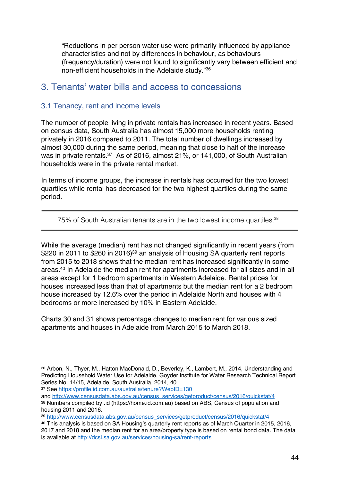"Reductions in per person water use were primarily influenced by appliance characteristics and not by differences in behaviour, as behaviours (frequency/duration) were not found to significantly vary between efficient and non-efficient households in the Adelaide study."36

### 3. Tenants' water bills and access to concessions

#### 3.1 Tenancy, rent and income levels

The number of people living in private rentals has increased in recent years. Based on census data, South Australia has almost 15,000 more households renting privately in 2016 compared to 2011. The total number of dwellings increased by almost 30,000 during the same period, meaning that close to half of the increase was in private rentals.<sup>37</sup> As of 2016, almost 21%, or 141,000, of South Australian households were in the private rental market.

In terms of income groups, the increase in rentals has occurred for the two lowest quartiles while rental has decreased for the two highest quartiles during the same period.

75% of South Australian tenants are in the two lowest income quartiles.<sup>38</sup>

While the average (median) rent has not changed significantly in recent years (from \$220 in 2011 to \$260 in 2016)<sup>39</sup> an analysis of Housing SA quarterly rent reports from 2015 to 2018 shows that the median rent has increased significantly in some areas.40 In Adelaide the median rent for apartments increased for all sizes and in all areas except for 1 bedroom apartments in Western Adelaide. Rental prices for houses increased less than that of apartments but the median rent for a 2 bedroom house increased by 12.6% over the period in Adelaide North and houses with 4 bedrooms or more increased by 10% in Eastern Adelaide.

Charts 30 and 31 shows percentage changes to median rent for various sized apartments and houses in Adelaide from March 2015 to March 2018.

<sup>37</sup> See https://profile.id.com.au/australia/tenure?WebID=130

 $\overline{a}$ 

and http://www.censusdata.abs.gov.au/census\_services/getproduct/census/2016/quickstat/4 <sup>38</sup> Numbers compiled by .id (https://home.id.com.au) based on ABS, Census of population and housing 2011 and 2016.

<sup>36</sup> Arbon, N., Thyer, M., Hatton MacDonald, D., Beverley, K., Lambert, M., 2014, Understanding and Predicting Household Water Use for Adelaide, Goyder Institute for Water Research Technical Report Series No. 14/15, Adelaide, South Australia, 2014, 40

<sup>39</sup> http://www.censusdata.abs.gov.au/census\_services/getproduct/census/2016/quickstat/4

<sup>40</sup> This analysis is based on SA Housing's quarterly rent reports as of March Quarter in 2015, 2016, 2017 and 2018 and the median rent for an area/property type is based on rental bond data. The data is available at http://dcsi.sa.gov.au/services/housing-sa/rent-reports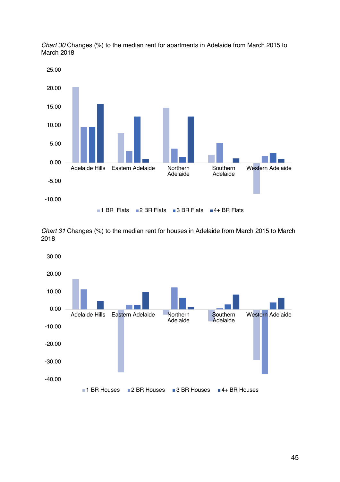

*Chart 30* Changes (%) to the median rent for apartments in Adelaide from March 2015 to March 2018

*Chart 31* Changes (%) to the median rent for houses in Adelaide from March 2015 to March 2018

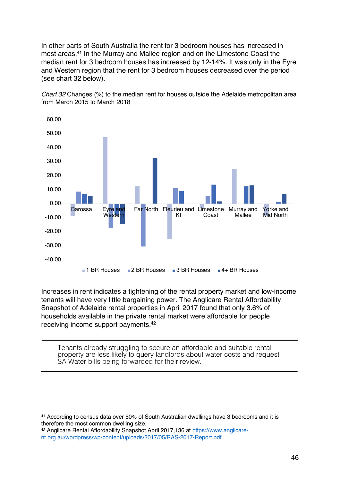In other parts of South Australia the rent for 3 bedroom houses has increased in most areas.41 In the Murray and Mallee region and on the Limestone Coast the median rent for 3 bedroom houses has increased by 12-14%. It was only in the Eyre and Western region that the rent for 3 bedroom houses decreased over the period (see chart 32 below).



*Chart 32* Changes (%) to the median rent for houses outside the Adelaide metropolitan area from March 2015 to March 2018

Increases in rent indicates a tightening of the rental property market and low-income tenants will have very little bargaining power. The Anglicare Rental Affordability Snapshot of Adelaide rental properties in April 2017 found that only 3.6% of households available in the private rental market were affordable for people receiving income support payments.42

Tenants already struggling to secure an affordable and suitable rental property are less likely to query landlords about water costs and request SA Water bills being forwarded for their review.

<sup>41</sup> According to census data over 50% of South Australian dwellings have 3 bedrooms and it is therefore the most common dwelling size.

<sup>42</sup> Anglicare Rental Affordability Snapshot April 2017,136 at https://www.anglicarent.org.au/wordpress/wp-content/uploads/2017/05/RAS-2017-Report.pdf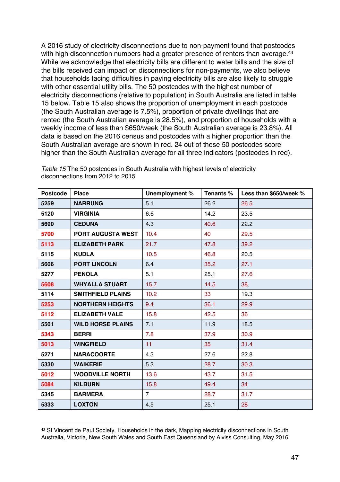A 2016 study of electricity disconnections due to non-payment found that postcodes with high disconnection numbers had a greater presence of renters than average.<sup>43</sup> While we acknowledge that electricity bills are different to water bills and the size of the bills received can impact on disconnections for non-payments, we also believe that households facing difficulties in paying electricity bills are also likely to struggle with other essential utility bills. The 50 postcodes with the highest number of electricity disconnections (relative to population) in South Australia are listed in table 15 below. Table 15 also shows the proportion of unemployment in each postcode (the South Australian average is 7.5%), proportion of private dwellings that are rented (the South Australian average is 28.5%), and proportion of households with a weekly income of less than \$650/week (the South Australian average is 23.8%). All data is based on the 2016 census and postcodes with a higher proportion than the South Australian average are shown in red. 24 out of these 50 postcodes score higher than the South Australian average for all three indicators (postcodes in red).

| <b>Postcode</b> | <b>Place</b>             | Unemployment % | Tenants % | Less than \$650/week % |
|-----------------|--------------------------|----------------|-----------|------------------------|
| 5259            | <b>NARRUNG</b>           | 5.1            | 26.2      | 26.5                   |
| 5120            | <b>VIRGINIA</b>          | 6.6            | 14.2      | 23.5                   |
| 5690            | <b>CEDUNA</b>            | 4.3            | 40.6      | 22.2                   |
| 5700            | <b>PORT AUGUSTA WEST</b> | 10.4           | 40        | 29.5                   |
| 5113            | <b>ELIZABETH PARK</b>    | 21.7           | 47.8      | 39.2                   |
| 5115            | <b>KUDLA</b>             | 10.5           | 46.8      | 20.5                   |
| 5606            | <b>PORT LINCOLN</b>      | 6.4            | 35.2      | 27.1                   |
| 5277            | <b>PENOLA</b>            | 5.1            | 25.1      | 27.6                   |
| 5608            | <b>WHYALLA STUART</b>    | 15.7           | 44.5      | 38                     |
| 5114            | <b>SMITHFIELD PLAINS</b> | 10.2           | 33        | 19.3                   |
| 5253            | <b>NORTHERN HEIGHTS</b>  | 9.4            | 36.1      | 29.9                   |
| 5112            | <b>ELIZABETH VALE</b>    | 15.8           | 42.5      | 36                     |
| 5501            | <b>WILD HORSE PLAINS</b> | 7.1            | 11.9      | 18.5                   |
| 5343            | <b>BERRI</b>             | 7.8            | 37.9      | 30.9                   |
| 5013            | <b>WINGFIELD</b>         | 11             | 35        | 31.4                   |
| 5271            | <b>NARACOORTE</b>        | 4.3            | 27.6      | 22.8                   |
| 5330            | <b>WAIKERIE</b>          | 5.3            | 28.7      | 30.3                   |
| 5012            | <b>WOODVILLE NORTH</b>   | 13.6           | 43.7      | 31.5                   |
| 5084            | <b>KILBURN</b>           | 15.8           | 49.4      | 34                     |
| 5345            | <b>BARMERA</b>           | $\overline{7}$ | 28.7      | 31.7                   |
| 5333            | <b>LOXTON</b>            | 4.5            | 25.1      | 28                     |

*Table 15* The 50 postcodes in South Australia with highest levels of electricity disconnections from 2012 to 2015

<sup>43</sup> St Vincent de Paul Society, Households in the dark, Mapping electricity disconnections in South Australia, Victoria, New South Wales and South East Queensland by Alviss Consulting, May 2016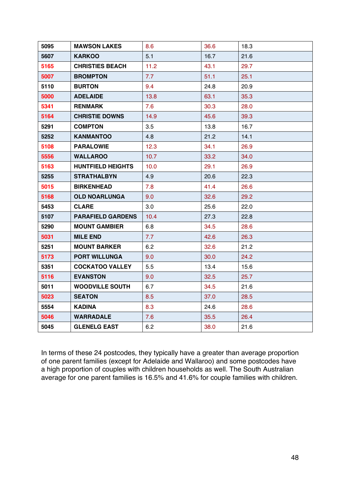| 5095 | <b>MAWSON LAKES</b>      | 8.6  | 36.6 | 18.3 |
|------|--------------------------|------|------|------|
| 5607 | <b>KARKOO</b>            | 5.1  | 16.7 | 21.6 |
| 5165 | <b>CHRISTIES BEACH</b>   | 11.2 | 43.1 | 29.7 |
| 5007 | <b>BROMPTON</b>          | 7.7  | 51.1 | 25.1 |
| 5110 | <b>BURTON</b>            | 9.4  | 24.8 | 20.9 |
| 5000 | <b>ADELAIDE</b>          | 13.8 | 63.1 | 35.3 |
| 5341 | <b>RENMARK</b>           | 7.6  | 30.3 | 28.0 |
| 5164 | <b>CHRISTIE DOWNS</b>    | 14.9 | 45.6 | 39.3 |
| 5291 | <b>COMPTON</b>           | 3.5  | 13.8 | 16.7 |
| 5252 | KANMANTOO                | 4.8  | 21.2 | 14.1 |
| 5108 | <b>PARALOWIE</b>         | 12.3 | 34.1 | 26.9 |
| 5556 | <b>WALLAROO</b>          | 10.7 | 33.2 | 34.0 |
| 5163 | <b>HUNTFIELD HEIGHTS</b> | 10.0 | 29.1 | 26.9 |
| 5255 | <b>STRATHALBYN</b>       | 4.9  | 20.6 | 22.3 |
| 5015 | <b>BIRKENHEAD</b>        | 7.8  | 41.4 | 26.6 |
| 5168 | <b>OLD NOARLUNGA</b>     | 9.0  | 32.6 | 29.2 |
| 5453 | <b>CLARE</b>             | 3.0  | 25.6 | 22.0 |
| 5107 | <b>PARAFIELD GARDENS</b> | 10.4 | 27.3 | 22.8 |
| 5290 | <b>MOUNT GAMBIER</b>     | 6.8  | 34.5 | 28.6 |
| 5031 | <b>MILE END</b>          | 7.7  | 42.6 | 26.3 |
| 5251 | <b>MOUNT BARKER</b>      | 6.2  | 32.6 | 21.2 |
| 5173 | <b>PORT WILLUNGA</b>     | 9.0  | 30.0 | 24.2 |
| 5351 | <b>COCKATOO VALLEY</b>   | 5.5  | 13.4 | 15.6 |
| 5116 | <b>EVANSTON</b>          | 9.0  | 32.5 | 25.7 |
| 5011 | <b>WOODVILLE SOUTH</b>   | 6.7  | 34.5 | 21.6 |
| 5023 | <b>SEATON</b>            | 8.5  | 37.0 | 28.5 |
| 5554 | <b>KADINA</b>            | 8.3  | 24.6 | 28.6 |
| 5046 | <b>WARRADALE</b>         | 7.6  | 35.5 | 26.4 |
| 5045 | <b>GLENELG EAST</b>      | 6.2  | 38.0 | 21.6 |

In terms of these 24 postcodes, they typically have a greater than average proportion of one parent families (except for Adelaide and Wallaroo) and some postcodes have a high proportion of couples with children households as well. The South Australian average for one parent families is 16.5% and 41.6% for couple families with children.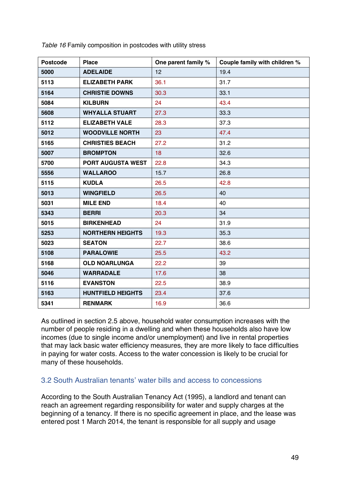| <b>Postcode</b> | <b>Place</b>             | One parent family % | Couple family with children % |
|-----------------|--------------------------|---------------------|-------------------------------|
| 5000            | <b>ADELAIDE</b>          | 12                  | 19.4                          |
| 5113            | <b>ELIZABETH PARK</b>    | 36.1                | 31.7                          |
| 5164            | <b>CHRISTIE DOWNS</b>    | 30.3                | 33.1                          |
| 5084            | <b>KILBURN</b>           | 24                  | 43.4                          |
| 5608            | <b>WHYALLA STUART</b>    | 27.3                | 33.3                          |
| 5112            | <b>ELIZABETH VALE</b>    | 28.3                | 37.3                          |
| 5012            | <b>WOODVILLE NORTH</b>   | 23                  | 47.4                          |
| 5165            | <b>CHRISTIES BEACH</b>   | 27.2                | 31.2                          |
| 5007            | <b>BROMPTON</b>          | 18                  | 32.6                          |
| 5700            | <b>PORT AUGUSTA WEST</b> | 22.8                | 34.3                          |
| 5556            | <b>WALLAROO</b>          | 15.7                | 26.8                          |
| 5115            | <b>KUDLA</b>             | 26.5                | 42.8                          |
| 5013            | <b>WINGFIELD</b>         | 26.5                | 40                            |
| 5031            | <b>MILE END</b>          | 18.4                | 40                            |
| 5343            | <b>BERRI</b>             | 20.3                | 34                            |
| 5015            | <b>BIRKENHEAD</b>        | 24                  | 31.9                          |
| 5253            | <b>NORTHERN HEIGHTS</b>  | 19.3                | 35.3                          |
| 5023            | <b>SEATON</b>            | 22.7                | 38.6                          |
| 5108            | <b>PARALOWIE</b>         | 25.5                | 43.2                          |
| 5168            | <b>OLD NOARLUNGA</b>     | 22.2                | 39                            |
| 5046            | <b>WARRADALE</b>         | 17.6                | 38                            |
| 5116            | <b>EVANSTON</b>          | 22.5                | 38.9                          |
| 5163            | <b>HUNTFIELD HEIGHTS</b> | 23.4                | 37.6                          |
| 5341            | <b>RENMARK</b>           | 16.9                | 36.6                          |

*Table 16* Family composition in postcodes with utility stress

As outlined in section 2.5 above, household water consumption increases with the number of people residing in a dwelling and when these households also have low incomes (due to single income and/or unemployment) and live in rental properties that may lack basic water efficiency measures, they are more likely to face difficulties in paying for water costs. Access to the water concession is likely to be crucial for many of these households.

#### 3.2 South Australian tenants' water bills and access to concessions

According to the South Australian Tenancy Act (1995), a landlord and tenant can reach an agreement regarding responsibility for water and supply charges at the beginning of a tenancy. If there is no specific agreement in place, and the lease was entered post 1 March 2014, the tenant is responsible for all supply and usage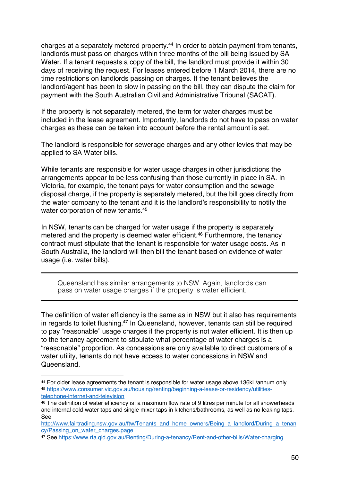charges at a separately metered property.44 In order to obtain payment from tenants, landlords must pass on charges within three months of the bill being issued by SA Water. If a tenant requests a copy of the bill, the landlord must provide it within 30 days of receiving the request. For leases entered before 1 March 2014, there are no time restrictions on landlords passing on charges. If the tenant believes the landlord/agent has been to slow in passing on the bill, they can dispute the claim for payment with the South Australian Civil and Administrative Tribunal (SACAT).

If the property is not separately metered, the term for water charges must be included in the lease agreement. Importantly, landlords do not have to pass on water charges as these can be taken into account before the rental amount is set.

The landlord is responsible for sewerage charges and any other levies that may be applied to SA Water bills.

While tenants are responsible for water usage charges in other jurisdictions the arrangements appear to be less confusing than those currently in place in SA. In Victoria, for example, the tenant pays for water consumption and the sewage disposal charge, if the property is separately metered, but the bill goes directly from the water company to the tenant and it is the landlord's responsibility to notify the water corporation of new tenants.<sup>45</sup>

In NSW, tenants can be charged for water usage if the property is separately metered and the property is deemed water efficient.<sup>46</sup> Furthermore, the tenancy contract must stipulate that the tenant is responsible for water usage costs. As in South Australia, the landlord will then bill the tenant based on evidence of water usage (i.e. water bills).

Queensland has similar arrangements to NSW. Again, landlords can pass on water usage charges if the property is water efficient.

The definition of water efficiency is the same as in NSW but it also has requirements in regards to toilet flushing.47 In Queensland, however, tenants can still be required to pay "reasonable" usage charges if the property is not water efficient. It is then up to the tenancy agreement to stipulate what percentage of water charges is a "reasonable" proportion. As concessions are only available to direct customers of a water utility, tenants do not have access to water concessions in NSW and Queensland.

<sup>44</sup> For older lease agreements the tenant is responsible for water usage above 136kL/annum only. <sup>45</sup> https://www.consumer.vic.gov.au/housing/renting/beginning-a-lease-or-residency/utilitiestelephone-internet-and-television

<sup>46</sup> The definition of water efficiency is: a maximum flow rate of 9 litres per minute for all showerheads and internal cold-water taps and single mixer taps in kitchens/bathrooms, as well as no leaking taps. See

http://www.fairtrading.nsw.gov.au/ftw/Tenants\_and\_home\_owners/Being\_a\_landlord/During\_a\_tenan cy/Passing\_on\_water\_charges.page

<sup>47</sup> See https://www.rta.qld.gov.au/Renting/During-a-tenancy/Rent-and-other-bills/Water-charging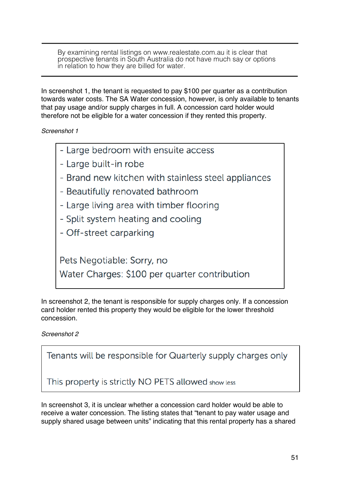By examining rental listings on www.realestate.com.au it is clear that prospective tenants in South Australia do not have much say or options in relation to how they are billed for water.

In screenshot 1, the tenant is requested to pay \$100 per quarter as a contribution towards water costs. The SA Water concession, however, is only available to tenants that pay usage and/or supply charges in full. A concession card holder would therefore not be eligible for a water concession if they rented this property.

*Screenshot 1*

- Large bedroom with ensuite access
- Large built-in robe
- Brand new kitchen with stainless steel appliances
- Beautifully renovated bathroom
- Large living area with timber flooring
- Split system heating and cooling
- Off-street carparking

Pets Negotiable: Sorry, no

Water Charges: \$100 per quarter contribution

In screenshot 2, the tenant is responsible for supply charges only. If a concession card holder rented this property they would be eligible for the lower threshold concession.

*Screenshot 2*

Tenants will be responsible for Quarterly supply charges only

This property is strictly NO PETS allowed show less

In screenshot 3, it is unclear whether a concession card holder would be able to receive a water concession. The listing states that "tenant to pay water usage and supply shared usage between units" indicating that this rental property has a shared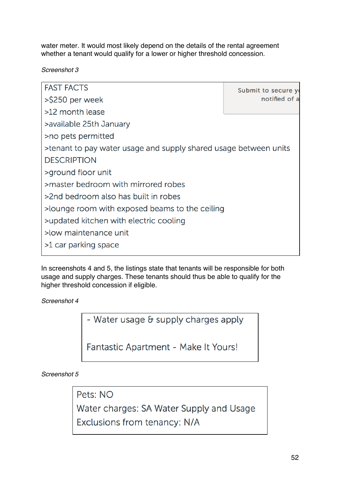water meter. It would most likely depend on the details of the rental agreement whether a tenant would qualify for a lower or higher threshold concession.

*Screenshot 3*

**FAST FACTS** Submit to secure yo notified of a >\$250 per week >12 month lease >available 25th January >no pets permitted >tenant to pay water usage and supply shared usage between units **DESCRIPTION** >ground floor unit >master bedroom with mirrored robes >2nd bedroom also has built in robes >lounge room with exposed beams to the ceiling >updated kitchen with electric cooling >low maintenance unit >1 car parking space

In screenshots 4 and 5, the listings state that tenants will be responsible for both usage and supply charges. These tenants should thus be able to qualify for the higher threshold concession if eligible.

*Screenshot 4*

- Water usage & supply charges apply

Fantastic Apartment - Make It Yours!

*Screenshot 5*

Pets: NO

Water charges: SA Water Supply and Usage

Exclusions from tenancy: N/A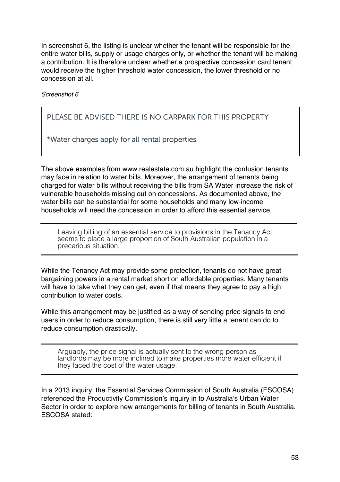In screenshot 6, the listing is unclear whether the tenant will be responsible for the entire water bills, supply or usage charges only, or whether the tenant will be making a contribution. It is therefore unclear whether a prospective concession card tenant would receive the higher threshold water concession, the lower threshold or no concession at all.

*Screenshot 6*

PLEASE BE ADVISED THERE IS NO CARPARK FOR THIS PROPERTY

\*Water charges apply for all rental properties

The above examples from www.realestate.com.au highlight the confusion tenants may face in relation to water bills. Moreover, the arrangement of tenants being charged for water bills without receiving the bills from SA Water increase the risk of vulnerable households missing out on concessions. As documented above, the water bills can be substantial for some households and many low-income households will need the concession in order to afford this essential service.

Leaving billing of an essential service to provisions in the Tenancy Act seems to place a large proportion of South Australian population in a precarious situation.

While the Tenancy Act may provide some protection, tenants do not have great bargaining powers in a rental market short on affordable properties. Many tenants will have to take what they can get, even if that means they agree to pay a high contribution to water costs.

While this arrangement may be justified as a way of sending price signals to end users in order to reduce consumption, there is still very little a tenant can do to reduce consumption drastically.

Arguably, the price signal is actually sent to the wrong person as landlords may be more inclined to make properties more water efficient if they faced the cost of the water usage.

In a 2013 inquiry, the Essential Services Commission of South Australia (ESCOSA) referenced the Productivity Commission's inquiry in to Australia's Urban Water Sector in order to explore new arrangements for billing of tenants in South Australia. ESCOSA stated: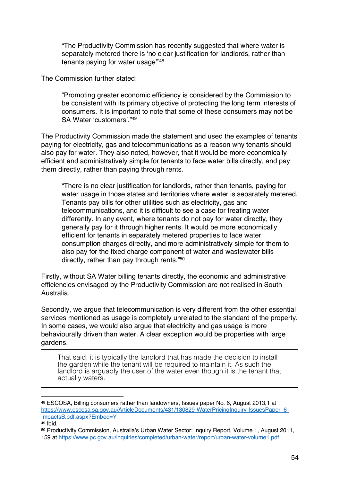"The Productivity Commission has recently suggested that where water is separately metered there is 'no clear justification for landlords, rather than tenants paying for water usage'"48

The Commission further stated:

"Promoting greater economic efficiency is considered by the Commission to be consistent with its primary objective of protecting the long term interests of consumers. It is important to note that some of these consumers may not be SA Water 'customers'."49

The Productivity Commission made the statement and used the examples of tenants paying for electricity, gas and telecommunications as a reason why tenants should also pay for water. They also noted, however, that it would be more economically efficient and administratively simple for tenants to face water bills directly, and pay them directly, rather than paying through rents.

"There is no clear justification for landlords, rather than tenants, paying for water usage in those states and territories where water is separately metered. Tenants pay bills for other utilities such as electricity, gas and telecommunications, and it is difficult to see a case for treating water differently. In any event, where tenants do not pay for water directly, they generally pay for it through higher rents. It would be more economically efficient for tenants in separately metered properties to face water consumption charges directly, and more administratively simple for them to also pay for the fixed charge component of water and wastewater bills directly, rather than pay through rents."50

Firstly, without SA Water billing tenants directly, the economic and administrative efficiencies envisaged by the Productivity Commission are not realised in South Australia.

Secondly, we argue that telecommunication is very different from the other essential services mentioned as usage is completely unrelated to the standard of the property. In some cases, we would also argue that electricity and gas usage is more behaviourally driven than water. A clear exception would be properties with large gardens.

That said, it is typically the landlord that has made the decision to install the garden while the tenant will be required to maintain it. As such the landlord is arguably the user of the water even though it is the tenant that actually waters.

<sup>48</sup> ESCOSA, Billing consumers rather than landowners, Issues paper No. 6, August 2013,1 at https://www.escosa.sa.gov.au/ArticleDocuments/431/130829-WaterPricingInquiry-IssuesPaper\_6- ImpactsB.pdf.aspx?Embed=Y

 $49$  Ibid.

<sup>50</sup> Productivity Commission, Australia's Urban Water Sector: Inquiry Report, Volume 1, August 2011, 159 at https://www.pc.gov.au/inquiries/completed/urban-water/report/urban-water-volume1.pdf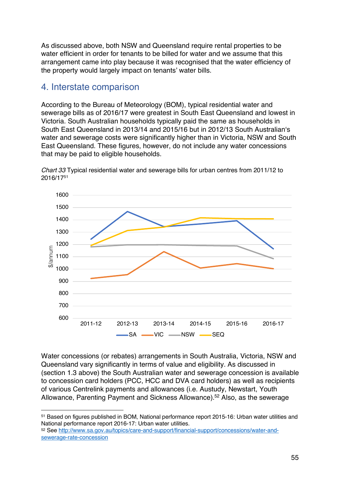As discussed above, both NSW and Queensland require rental properties to be water efficient in order for tenants to be billed for water and we assume that this arrangement came into play because it was recognised that the water efficiency of the property would largely impact on tenants' water bills.

### 4. Interstate comparison

According to the Bureau of Meteorology (BOM), typical residential water and sewerage bills as of 2016/17 were greatest in South East Queensland and lowest in Victoria. South Australian households typically paid the same as households in South East Queensland in 2013/14 and 2015/16 but in 2012/13 South Australian's water and sewerage costs were significantly higher than in Victoria, NSW and South East Queensland. These figures, however, do not include any water concessions that may be paid to eligible households.



*Chart 33* Typical residential water and sewerage bills for urban centres from 2011/12 to 2016/1751

Water concessions (or rebates) arrangements in South Australia, Victoria, NSW and Queensland vary significantly in terms of value and eligibility. As discussed in (section 1.3 above) the South Australian water and sewerage concession is available to concession card holders (PCC, HCC and DVA card holders) as well as recipients of various Centrelink payments and allowances (i.e. Austudy, Newstart, Youth Allowance, Parenting Payment and Sickness Allowance).52 Also, as the sewerage

 $\overline{a}$ <sup>51</sup> Based on figures published in BOM, National performance report 2015-16: Urban water utilities and National performance report 2016-17: Urban water utilities.

<sup>52</sup> See http://www.sa.gov.au/topics/care-and-support/financial-support/concessions/water-andsewerage-rate-concession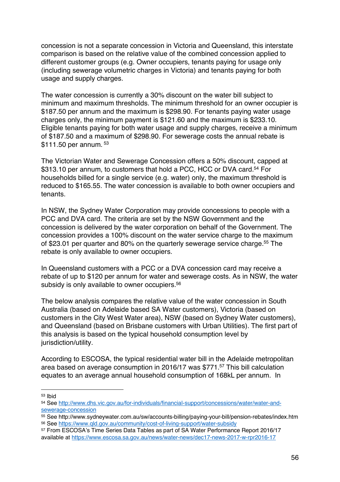concession is not a separate concession in Victoria and Queensland, this interstate comparison is based on the relative value of the combined concession applied to different customer groups (e.g. Owner occupiers, tenants paying for usage only (including sewerage volumetric charges in Victoria) and tenants paying for both usage and supply charges.

The water concession is currently a 30% discount on the water bill subject to minimum and maximum thresholds. The minimum threshold for an owner occupier is \$187.50 per annum and the maximum is \$298.90. For tenants paying water usage charges only, the minimum payment is \$121.60 and the maximum is \$233.10. Eligible tenants paying for both water usage and supply charges, receive a minimum of \$187.50 and a maximum of \$298.90. For sewerage costs the annual rebate is \$111.50 per annum. 53

The Victorian Water and Sewerage Concession offers a 50% discount, capped at \$313.10 per annum, to customers that hold a PCC, HCC or DVA card.<sup>54</sup> For households billed for a single service (e.g. water) only, the maximum threshold is reduced to \$165.55. The water concession is available to both owner occupiers and tenants.

In NSW, the Sydney Water Corporation may provide concessions to people with a PCC and DVA card. The criteria are set by the NSW Government and the concession is delivered by the water corporation on behalf of the Government. The concession provides a 100% discount on the water service charge to the maximum of \$23.01 per quarter and 80% on the quarterly sewerage service charge.<sup>55</sup> The rebate is only available to owner occupiers.

In Queensland customers with a PCC or a DVA concession card may receive a rebate of up to \$120 per annum for water and sewerage costs. As in NSW, the water subsidy is only available to owner occupiers. 56

The below analysis compares the relative value of the water concession in South Australia (based on Adelaide based SA Water customers), Victoria (based on customers in the City West Water area), NSW (based on Sydney Water customers), and Queensland (based on Brisbane customers with Urban Utilities). The first part of this analysis is based on the typical household consumption level by iurisdiction/utility.

According to ESCOSA, the typical residential water bill in the Adelaide metropolitan area based on average consumption in 2016/17 was \$771.57 This bill calculation equates to an average annual household consumption of 168kL per annum. In

<sup>53</sup> Ibid

<sup>54</sup> See http://www.dhs.vic.gov.au/for-individuals/financial-support/concessions/water/water-andsewerage-concession

<sup>55</sup> See http://www.sydneywater.com.au/sw/accounts-billing/paying-your-bill/pension-rebates/index.htm

<sup>56</sup> See https://www.qld.gov.au/community/cost-of-living-support/water-subsidy 57 From ESCOSA's Time Series Data Tables as part of SA Water Performance Report 2016/17

available at https://www.escosa.sa.gov.au/news/water-news/dec17-news-2017-w-rpr2016-17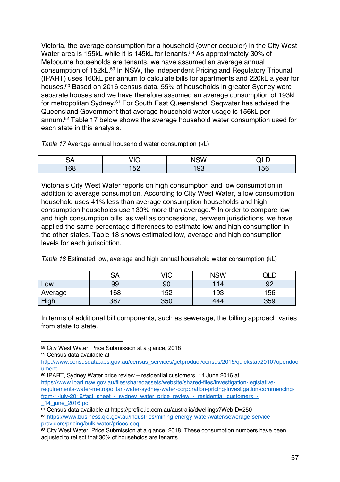Victoria, the average consumption for a household (owner occupier) in the City West Water area is 155kL while it is 145kL for tenants.<sup>58</sup> As approximately 30% of Melbourne households are tenants, we have assumed an average annual consumption of 152kL.59 In NSW, the Independent Pricing and Regulatory Tribunal (IPART) uses 160kL per annum to calculate bills for apartments and 220kL a year for houses.<sup>60</sup> Based on 2016 census data, 55% of households in greater Sydney were separate houses and we have therefore assumed an average consumption of 193kL for metropolitan Sydney.61 For South East Queensland, Seqwater has advised the Queensland Government that average household water usage is 156kL per annum.62 Table 17 below shows the average household water consumption used for each state in this analysis.

*Table 17* Average annual household water consumption (kL)

|                       | $\sqrt{2}$<br>י - | <b>NSW</b> | -<br>ЭI |
|-----------------------|-------------------|------------|---------|
| $\cdot$ $\circ$<br>OΟ | <b>EQ</b><br>ື້   | 93         | E       |

Victoria's City West Water reports on high consumption and low consumption in addition to average consumption. According to City West Water, a low consumption household uses 41% less than average consumption households and high consumption households use 130% more than average.63 In order to compare low and high consumption bills, as well as concessions, between jurisdictions, we have applied the same percentage differences to estimate low and high consumption in the other states. Table 18 shows estimated low, average and high consumption levels for each jurisdiction.

*Table 18* Estimated low, average and high annual household water consumption (kL)

|             | ົ^<br>DА | VIC | <b>NSW</b> | $\cap$ . |
|-------------|----------|-----|------------|----------|
| LOW         | 99       | 90  | 14         | ററ       |
| Average     | 168      | 152 | 193        | 156      |
| <u>High</u> | 387      | 350 | 444        | 359      |

In terms of additional bill components, such as sewerage, the billing approach varies from state to state.

<sup>58</sup> City West Water, Price Submission at a glance, 2018

<sup>59</sup> Census data available at

http://www.censusdata.abs.gov.au/census\_services/getproduct/census/2016/quickstat/2010?opendoc ument

<sup>60</sup> IPART, Sydney Water price review – residential customers, 14 June 2016 at https://www.ipart.nsw.gov.au/files/sharedassets/website/shared-files/investigation-legislativerequirements-water-metropolitan-water-sydney-water-corporation-pricing-investigation-commencingfrom-1-july-2016/fact\_sheet\_-\_sydney\_water\_price\_review\_-\_residential\_customers\_-\_14\_june\_2016.pdf

<sup>61</sup> Census data available at https://profile.id.com.au/australia/dwellings?WebID=250

<sup>62</sup> https://www.business.qld.gov.au/industries/mining-energy-water/water/sewerage-serviceproviders/pricing/bulk-water/prices-seq

<sup>63</sup> City West Water, Price Submission at a glance, 2018. These consumption numbers have been adjusted to reflect that 30% of households are tenants.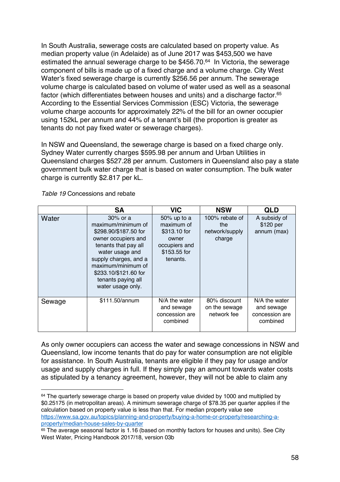In South Australia, sewerage costs are calculated based on property value. As median property value (in Adelaide) as of June 2017 was \$453,500 we have estimated the annual sewerage charge to be \$456.70.<sup>64</sup> In Victoria, the sewerage component of bills is made up of a fixed charge and a volume charge. City West Water's fixed sewerage charge is currently \$256.56 per annum. The sewerage volume charge is calculated based on volume of water used as well as a seasonal factor (which differentiates between houses and units) and a discharge factor.<sup>65</sup> According to the Essential Services Commission (ESC) Victoria, the sewerage volume charge accounts for approximately 22% of the bill for an owner occupier using 152kL per annum and 44% of a tenant's bill (the proportion is greater as tenants do not pay fixed water or sewerage charges).

In NSW and Queensland, the sewerage charge is based on a fixed charge only. Sydney Water currently charges \$595.98 per annum and Urban Utilities in Queensland charges \$527.28 per annum. Customers in Queensland also pay a state government bulk water charge that is based on water consumption. The bulk water charge is currently \$2.817 per kL.

|        | <b>SA</b>                                                                                                                                                                                                                                    | <b>VIC</b>                                                                                         | <b>NSW</b>                                        | <b>QLD</b>                                                |
|--------|----------------------------------------------------------------------------------------------------------------------------------------------------------------------------------------------------------------------------------------------|----------------------------------------------------------------------------------------------------|---------------------------------------------------|-----------------------------------------------------------|
| Water  | 30% or a<br>maximum/minimum of<br>\$298.90/\$187.50 for<br>owner occupiers and<br>tenants that pay all<br>water usage and<br>supply charges, and a<br>maximum/minimum of<br>\$233.10/\$121.60 for<br>tenants paying all<br>water usage only. | $50\%$ up to a<br>maximum of<br>\$313.10 for<br>owner<br>occupiers and<br>\$153.55 for<br>tenants. | 100% rebate of<br>the<br>network/supply<br>charge | A subsidy of<br>\$120 per<br>annum (max)                  |
| Sewage | \$111.50/annum                                                                                                                                                                                                                               | N/A the water<br>and sewage<br>concession are<br>combined                                          | 80% discount<br>on the sewage<br>network fee      | N/A the water<br>and sewage<br>concession are<br>combined |

*Table 19* Concessions and rebate

 $\overline{a}$ 

As only owner occupiers can access the water and sewage concessions in NSW and Queensland, low income tenants that do pay for water consumption are not eligible for assistance. In South Australia, tenants are eligible if they pay for usage and/or usage and supply charges in full. If they simply pay an amount towards water costs as stipulated by a tenancy agreement, however, they will not be able to claim any

64 The quarterly sewerage charge is based on property value divided by 1000 and multiplied by \$0.25175 (in metropolitan areas). A minimum sewerage charge of \$78.35 per quarter applies if the calculation based on property value is less than that. For median property value see https://www.sa.gov.au/topics/planning-and-property/buying-a-home-or-property/researching-aproperty/median-house-sales-by-quarter

<sup>65</sup> The average seasonal factor is 1.16 (based on monthly factors for houses and units). See City West Water, Pricing Handbook 2017/18, version 03b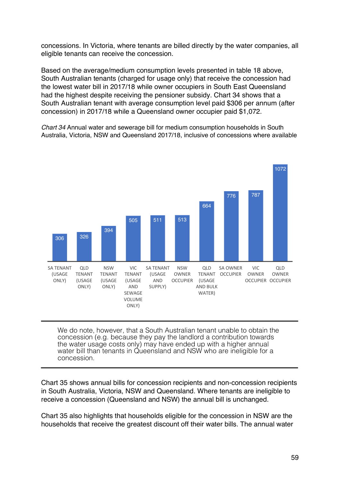concessions. In Victoria, where tenants are billed directly by the water companies, all eligible tenants can receive the concession.

Based on the average/medium consumption levels presented in table 18 above, South Australian tenants (charged for usage only) that receive the concession had the lowest water bill in 2017/18 while owner occupiers in South East Queensland had the highest despite receiving the pensioner subsidy. Chart 34 shows that a South Australian tenant with average consumption level paid \$306 per annum (after concession) in 2017/18 while a Queensland owner occupier paid \$1,072.

*Chart 34* Annual water and sewerage bill for medium consumption households in South Australia, Victoria, NSW and Queensland 2017/18, inclusive of concessions where available



We do note, however, that a South Australian tenant unable to obtain the concession (e.g. because they pay the landlord a contribution towards the water usage costs only) may have ended up with a higher annual water bill than tenants in Queensland and NSW who are ineligible for a concession.

Chart 35 shows annual bills for concession recipients and non-concession recipients in South Australia, Victoria, NSW and Queensland. Where tenants are ineligible to receive a concession (Queensland and NSW) the annual bill is unchanged.

Chart 35 also highlights that households eligible for the concession in NSW are the households that receive the greatest discount off their water bills. The annual water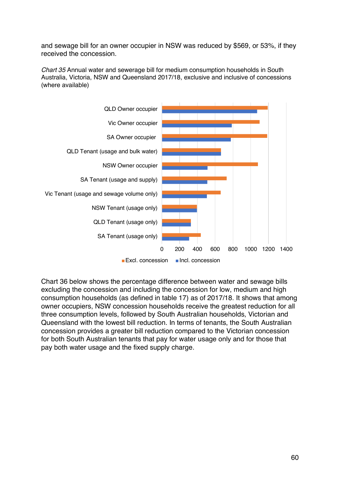and sewage bill for an owner occupier in NSW was reduced by \$569, or 53%, if they received the concession.

*Chart 35* Annual water and sewerage bill for medium consumption households in South Australia, Victoria, NSW and Queensland 2017/18, exclusive and inclusive of concessions (where available)



Chart 36 below shows the percentage difference between water and sewage bills excluding the concession and including the concession for low, medium and high consumption households (as defined in table 17) as of 2017/18. It shows that among owner occupiers, NSW concession households receive the greatest reduction for all three consumption levels, followed by South Australian households, Victorian and Queensland with the lowest bill reduction. In terms of tenants, the South Australian concession provides a greater bill reduction compared to the Victorian concession for both South Australian tenants that pay for water usage only and for those that pay both water usage and the fixed supply charge.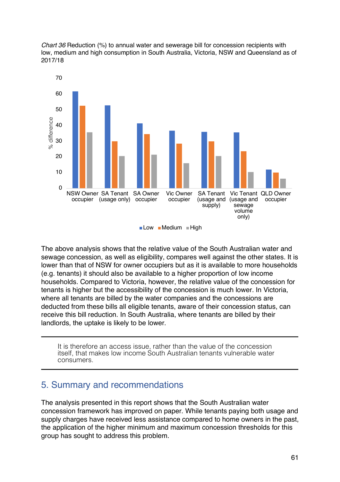*Chart 36* Reduction (%) to annual water and sewerage bill for concession recipients with low, medium and high consumption in South Australia, Victoria, NSW and Queensland as of 2017/18



The above analysis shows that the relative value of the South Australian water and sewage concession, as well as eligibility, compares well against the other states. It is lower than that of NSW for owner occupiers but as it is available to more households (e.g. tenants) it should also be available to a higher proportion of low income households. Compared to Victoria, however, the relative value of the concession for tenants is higher but the accessibility of the concession is much lower. In Victoria, where all tenants are billed by the water companies and the concessions are deducted from these bills all eligible tenants, aware of their concession status, can receive this bill reduction. In South Australia, where tenants are billed by their landlords, the uptake is likely to be lower.

It is therefore an access issue, rather than the value of the concession itself, that makes low income South Australian tenants vulnerable water consumers.

### 5. Summary and recommendations

The analysis presented in this report shows that the South Australian water concession framework has improved on paper. While tenants paying both usage and supply charges have received less assistance compared to home owners in the past, the application of the higher minimum and maximum concession thresholds for this group has sought to address this problem.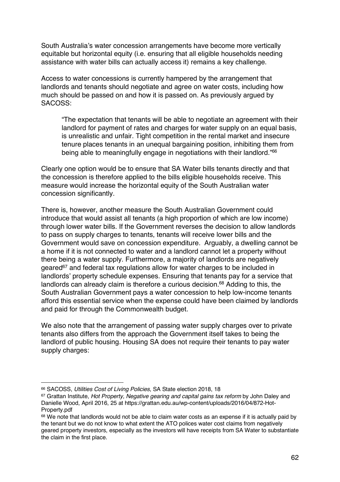South Australia's water concession arrangements have become more vertically equitable but horizontal equity (i.e. ensuring that all eligible households needing assistance with water bills can actually access it) remains a key challenge.

Access to water concessions is currently hampered by the arrangement that landlords and tenants should negotiate and agree on water costs, including how much should be passed on and how it is passed on. As previously argued by SACOSS:

"The expectation that tenants will be able to negotiate an agreement with their landlord for payment of rates and charges for water supply on an equal basis, is unrealistic and unfair. Tight competition in the rental market and insecure tenure places tenants in an unequal bargaining position, inhibiting them from being able to meaningfully engage in negotiations with their landlord."66

Clearly one option would be to ensure that SA Water bills tenants directly and that the concession is therefore applied to the bills eligible households receive. This measure would increase the horizontal equity of the South Australian water concession significantly.

There is, however, another measure the South Australian Government could introduce that would assist all tenants (a high proportion of which are low income) through lower water bills. If the Government reverses the decision to allow landlords to pass on supply charges to tenants, tenants will receive lower bills and the Government would save on concession expenditure. Arguably, a dwelling cannot be a home if it is not connected to water and a landlord cannot let a property without there being a water supply. Furthermore, a majority of landlords are negatively geared67 and federal tax regulations allow for water charges to be included in landlords' property schedule expenses. Ensuring that tenants pay for a service that landlords can already claim is therefore a curious decision.<sup>68</sup> Adding to this, the South Australian Government pays a water concession to help low-income tenants afford this essential service when the expense could have been claimed by landlords and paid for through the Commonwealth budget.

We also note that the arrangement of passing water supply charges over to private tenants also differs from the approach the Government itself takes to being the landlord of public housing. Housing SA does not require their tenants to pay water supply charges:

<sup>66</sup> SACOSS, *Utilities Cost of Living Policies*, SA State election 2018, 18

<sup>67</sup> Grattan Institute, *Hot Property, Negative gearing and capital gains tax reform* by John Daley and Danielle Wood, April 2016, 25 at https://grattan.edu.au/wp-content/uploads/2016/04/872-Hot-Property.pdf

<sup>68</sup> We note that landlords would not be able to claim water costs as an expense if it is actually paid by the tenant but we do not know to what extent the ATO polices water cost claims from negatively geared property investors, especially as the investors will have receipts from SA Water to substantiate the claim in the first place.